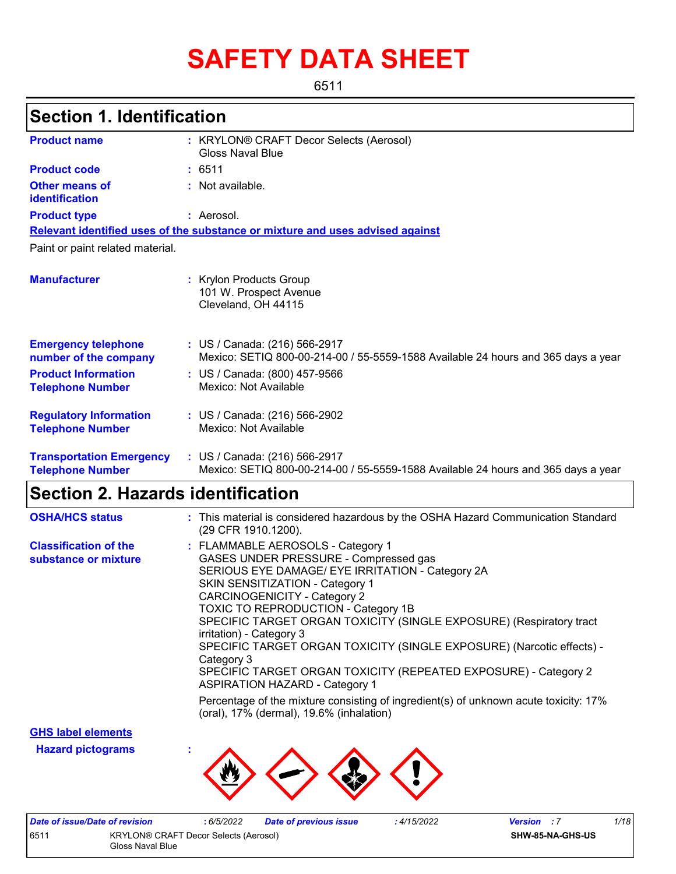# **SAFETY DATA SHEET**

6511

### **Section 1. Identification**

| <b>Product name</b>                                        | : KRYLON® CRAFT Decor Selects (Aerosol)<br>Gloss Naval Blue                                                        |
|------------------------------------------------------------|--------------------------------------------------------------------------------------------------------------------|
| <b>Product code</b>                                        | : 6511                                                                                                             |
| Other means of<br>identification                           | : Not available.                                                                                                   |
| <b>Product type</b>                                        | : Aerosol.                                                                                                         |
|                                                            | Relevant identified uses of the substance or mixture and uses advised against                                      |
| Paint or paint related material.                           |                                                                                                                    |
| <b>Manufacturer</b>                                        | : Krylon Products Group<br>101 W. Prospect Avenue<br>Cleveland, OH 44115                                           |
| <b>Emergency telephone</b><br>number of the company        | : US / Canada: (216) 566-2917<br>Mexico: SETIQ 800-00-214-00 / 55-5559-1588 Available 24 hours and 365 days a year |
| <b>Product Information</b><br><b>Telephone Number</b>      | : US / Canada: (800) 457-9566<br>Mexico: Not Available                                                             |
| <b>Regulatory Information</b><br><b>Telephone Number</b>   | : US / Canada: (216) 566-2902<br>Mexico: Not Available                                                             |
| <b>Transportation Emergency</b><br><b>Telephone Number</b> | : US / Canada: (216) 566-2917<br>Mexico: SETIQ 800-00-214-00 / 55-5559-1588 Available 24 hours and 365 days a year |

### **Section 2. Hazards identification**

| <b>OSHA/HCS status</b>                               | : This material is considered hazardous by the OSHA Hazard Communication Standard<br>(29 CFR 1910.1200).                                                                                                                                                                                                                                                                                                                                                                                                                                                     |
|------------------------------------------------------|--------------------------------------------------------------------------------------------------------------------------------------------------------------------------------------------------------------------------------------------------------------------------------------------------------------------------------------------------------------------------------------------------------------------------------------------------------------------------------------------------------------------------------------------------------------|
| <b>Classification of the</b><br>substance or mixture | : FLAMMABLE AEROSOLS - Category 1<br>GASES UNDER PRESSURE - Compressed gas<br>SERIOUS EYE DAMAGE/ EYE IRRITATION - Category 2A<br><b>SKIN SENSITIZATION - Category 1</b><br><b>CARCINOGENICITY - Category 2</b><br>TOXIC TO REPRODUCTION - Category 1B<br>SPECIFIC TARGET ORGAN TOXICITY (SINGLE EXPOSURE) (Respiratory tract<br>irritation) - Category 3<br>SPECIFIC TARGET ORGAN TOXICITY (SINGLE EXPOSURE) (Narcotic effects) -<br>Category 3<br>SPECIFIC TARGET ORGAN TOXICITY (REPEATED EXPOSURE) - Category 2<br><b>ASPIRATION HAZARD - Category 1</b> |
|                                                      | Percentage of the mixture consisting of ingredient(s) of unknown acute toxicity: 17%<br>(oral), 17% (dermal), 19.6% (inhalation)                                                                                                                                                                                                                                                                                                                                                                                                                             |

**GHS label elements**

**Hazard pictograms :**



| Date of issue/Date of revision                |                  | 6/5/2022 | <b>Date of previous issue</b> | 4/15/2022 | <b>Version</b> : 7 | 1/18 |
|-----------------------------------------------|------------------|----------|-------------------------------|-----------|--------------------|------|
| 651'<br>KRYLON® CRAFT Decor Selects (Aerosol) |                  |          |                               |           | SHW-85-NA-GHS-US   |      |
|                                               | Gloss Naval Blue |          |                               |           |                    |      |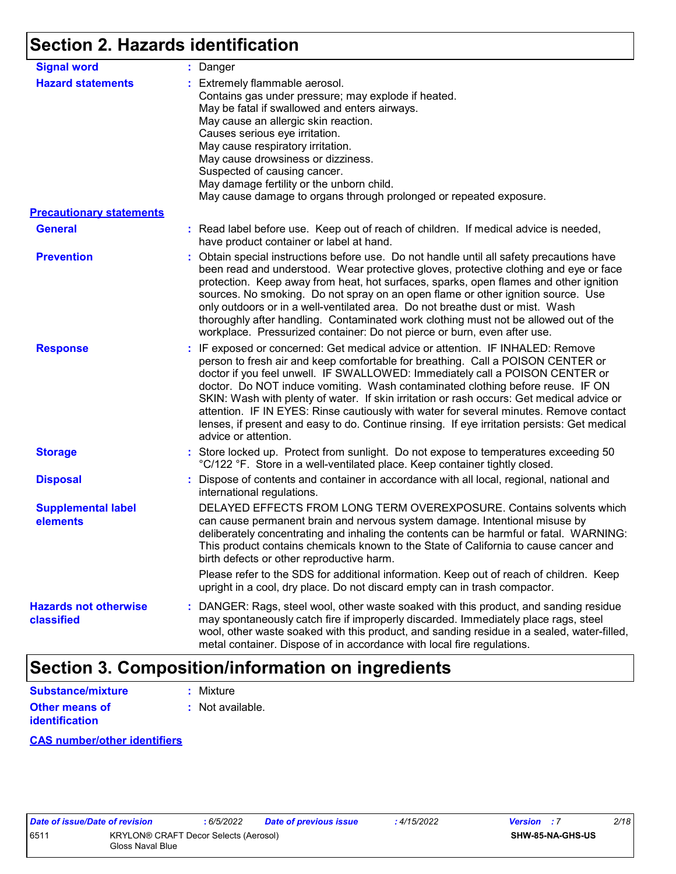### **Section 2. Hazards identification**

| <b>Signal word</b>                         | : Danger                                                                                                                                                                                                                                                                                                                                                                                                                                                                                                                                                                                                                                           |
|--------------------------------------------|----------------------------------------------------------------------------------------------------------------------------------------------------------------------------------------------------------------------------------------------------------------------------------------------------------------------------------------------------------------------------------------------------------------------------------------------------------------------------------------------------------------------------------------------------------------------------------------------------------------------------------------------------|
| <b>Hazard statements</b>                   | : Extremely flammable aerosol.<br>Contains gas under pressure; may explode if heated.<br>May be fatal if swallowed and enters airways.<br>May cause an allergic skin reaction.<br>Causes serious eye irritation.<br>May cause respiratory irritation.<br>May cause drowsiness or dizziness.<br>Suspected of causing cancer.<br>May damage fertility or the unborn child.<br>May cause damage to organs through prolonged or repeated exposure.                                                                                                                                                                                                     |
| <b>Precautionary statements</b>            |                                                                                                                                                                                                                                                                                                                                                                                                                                                                                                                                                                                                                                                    |
| <b>General</b>                             | : Read label before use. Keep out of reach of children. If medical advice is needed,<br>have product container or label at hand.                                                                                                                                                                                                                                                                                                                                                                                                                                                                                                                   |
| <b>Prevention</b>                          | : Obtain special instructions before use. Do not handle until all safety precautions have<br>been read and understood. Wear protective gloves, protective clothing and eye or face<br>protection. Keep away from heat, hot surfaces, sparks, open flames and other ignition<br>sources. No smoking. Do not spray on an open flame or other ignition source. Use<br>only outdoors or in a well-ventilated area. Do not breathe dust or mist. Wash<br>thoroughly after handling. Contaminated work clothing must not be allowed out of the<br>workplace. Pressurized container: Do not pierce or burn, even after use.                               |
| <b>Response</b>                            | : IF exposed or concerned: Get medical advice or attention. IF INHALED: Remove<br>person to fresh air and keep comfortable for breathing. Call a POISON CENTER or<br>doctor if you feel unwell. IF SWALLOWED: Immediately call a POISON CENTER or<br>doctor. Do NOT induce vomiting. Wash contaminated clothing before reuse. IF ON<br>SKIN: Wash with plenty of water. If skin irritation or rash occurs: Get medical advice or<br>attention. IF IN EYES: Rinse cautiously with water for several minutes. Remove contact<br>lenses, if present and easy to do. Continue rinsing. If eye irritation persists: Get medical<br>advice or attention. |
| <b>Storage</b>                             | : Store locked up. Protect from sunlight. Do not expose to temperatures exceeding 50<br>°C/122 °F. Store in a well-ventilated place. Keep container tightly closed.                                                                                                                                                                                                                                                                                                                                                                                                                                                                                |
| <b>Disposal</b>                            | : Dispose of contents and container in accordance with all local, regional, national and<br>international regulations.                                                                                                                                                                                                                                                                                                                                                                                                                                                                                                                             |
| <b>Supplemental label</b><br>elements      | DELAYED EFFECTS FROM LONG TERM OVEREXPOSURE. Contains solvents which<br>can cause permanent brain and nervous system damage. Intentional misuse by<br>deliberately concentrating and inhaling the contents can be harmful or fatal. WARNING:<br>This product contains chemicals known to the State of California to cause cancer and<br>birth defects or other reproductive harm.                                                                                                                                                                                                                                                                  |
|                                            | Please refer to the SDS for additional information. Keep out of reach of children. Keep<br>upright in a cool, dry place. Do not discard empty can in trash compactor.                                                                                                                                                                                                                                                                                                                                                                                                                                                                              |
| <b>Hazards not otherwise</b><br>classified | : DANGER: Rags, steel wool, other waste soaked with this product, and sanding residue<br>may spontaneously catch fire if improperly discarded. Immediately place rags, steel<br>wool, other waste soaked with this product, and sanding residue in a sealed, water-filled,<br>metal container. Dispose of in accordance with local fire regulations.                                                                                                                                                                                                                                                                                               |

### **Section 3. Composition/information on ingredients**

| Substance/mixture     | : Mixture        |
|-----------------------|------------------|
| <b>Other means of</b> | : Not available. |
| <b>identification</b> |                  |

**CAS number/other identifiers**

|     | ale of issue/Date of rev |       |
|-----|--------------------------|-------|
| 511 |                          | KRYL  |
|     |                          | Gloss |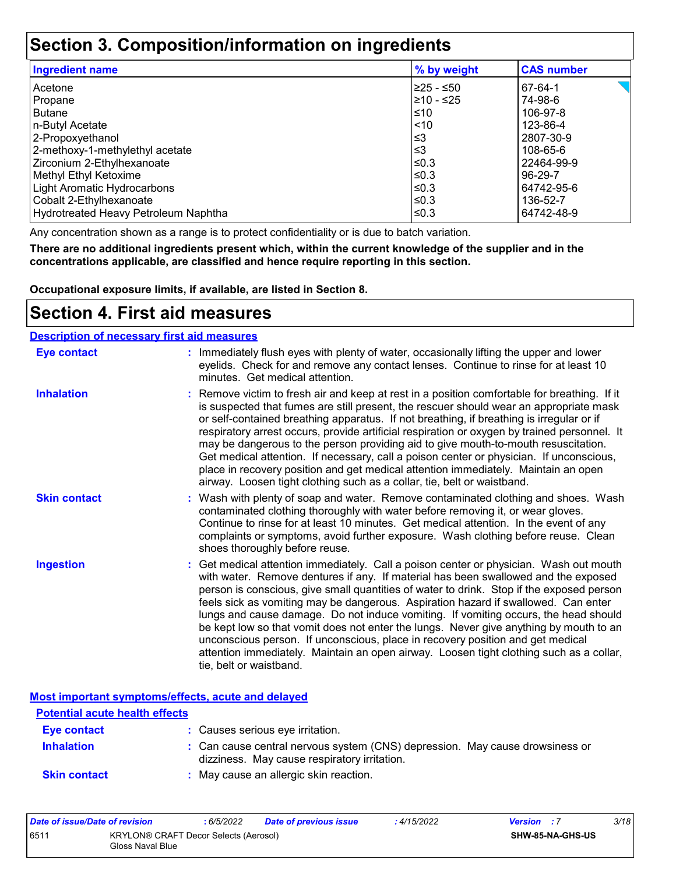### **Section 3. Composition/information on ingredients**

| <b>Ingredient name</b>               | % by weight | <b>CAS number</b> |
|--------------------------------------|-------------|-------------------|
| l Acetone                            | 225 - ≤50   | 67-64-1           |
| Propane                              | l≥10 - ≤25  | 74-98-6           |
| Butane                               | ≤10         | 106-97-8          |
| n-Butyl Acetate                      | $ $ < 10    | 123-86-4          |
| 2-Propoxyethanol                     | $\leq$ 3    | 2807-30-9         |
| 2-methoxy-1-methylethyl acetate      | ՝≤3         | 108-65-6          |
| Zirconium 2-Ethylhexanoate           | l≤0.3       | 22464-99-9        |
| Methyl Ethyl Ketoxime                | l≤0.3       | 96-29-7           |
| Light Aromatic Hydrocarbons          | l≤0.3       | 64742-95-6        |
| Cobalt 2-Ethylhexanoate              | l≤0.3       | 136-52-7          |
| Hydrotreated Heavy Petroleum Naphtha | l≤0.3       | 64742-48-9        |

Any concentration shown as a range is to protect confidentiality or is due to batch variation.

**There are no additional ingredients present which, within the current knowledge of the supplier and in the concentrations applicable, are classified and hence require reporting in this section.**

**Occupational exposure limits, if available, are listed in Section 8.**

### **Section 4. First aid measures**

#### **Description of necessary first aid measures**

| <b>Eye contact</b>  | : Immediately flush eyes with plenty of water, occasionally lifting the upper and lower<br>eyelids. Check for and remove any contact lenses. Continue to rinse for at least 10<br>minutes. Get medical attention.                                                                                                                                                                                                                                                                                                                                                                                                                                                                                                                                       |
|---------------------|---------------------------------------------------------------------------------------------------------------------------------------------------------------------------------------------------------------------------------------------------------------------------------------------------------------------------------------------------------------------------------------------------------------------------------------------------------------------------------------------------------------------------------------------------------------------------------------------------------------------------------------------------------------------------------------------------------------------------------------------------------|
| <b>Inhalation</b>   | : Remove victim to fresh air and keep at rest in a position comfortable for breathing. If it<br>is suspected that fumes are still present, the rescuer should wear an appropriate mask<br>or self-contained breathing apparatus. If not breathing, if breathing is irregular or if<br>respiratory arrest occurs, provide artificial respiration or oxygen by trained personnel. It<br>may be dangerous to the person providing aid to give mouth-to-mouth resuscitation.<br>Get medical attention. If necessary, call a poison center or physician. If unconscious,<br>place in recovery position and get medical attention immediately. Maintain an open<br>airway. Loosen tight clothing such as a collar, tie, belt or waistband.                    |
| <b>Skin contact</b> | : Wash with plenty of soap and water. Remove contaminated clothing and shoes. Wash<br>contaminated clothing thoroughly with water before removing it, or wear gloves.<br>Continue to rinse for at least 10 minutes. Get medical attention. In the event of any<br>complaints or symptoms, avoid further exposure. Wash clothing before reuse. Clean<br>shoes thoroughly before reuse.                                                                                                                                                                                                                                                                                                                                                                   |
| <b>Ingestion</b>    | : Get medical attention immediately. Call a poison center or physician. Wash out mouth<br>with water. Remove dentures if any. If material has been swallowed and the exposed<br>person is conscious, give small quantities of water to drink. Stop if the exposed person<br>feels sick as vomiting may be dangerous. Aspiration hazard if swallowed. Can enter<br>lungs and cause damage. Do not induce vomiting. If vomiting occurs, the head should<br>be kept low so that vomit does not enter the lungs. Never give anything by mouth to an<br>unconscious person. If unconscious, place in recovery position and get medical<br>attention immediately. Maintain an open airway. Loosen tight clothing such as a collar,<br>tie, belt or waistband. |

**Most important symptoms/effects, acute and delayed**

| <b>Potential acute health effects</b> |                                                                                                                              |
|---------------------------------------|------------------------------------------------------------------------------------------------------------------------------|
| Eye contact                           | : Causes serious eye irritation.                                                                                             |
| <b>Inhalation</b>                     | : Can cause central nervous system (CNS) depression. May cause drowsiness or<br>dizziness. May cause respiratory irritation. |
| <b>Skin contact</b>                   | : May cause an allergic skin reaction.                                                                                       |

| Date of issue/Date of revision |                                                           | 6/5/2022 | <b>Date of previous issue</b> | : 4/15/2022 | <b>Version</b> : 7 |                  | 3/18 |
|--------------------------------|-----------------------------------------------------------|----------|-------------------------------|-------------|--------------------|------------------|------|
| 6511                           | KRYLON® CRAFT Decor Selects (Aerosol)<br>Gloss Naval Blue |          |                               |             |                    | SHW-85-NA-GHS-US |      |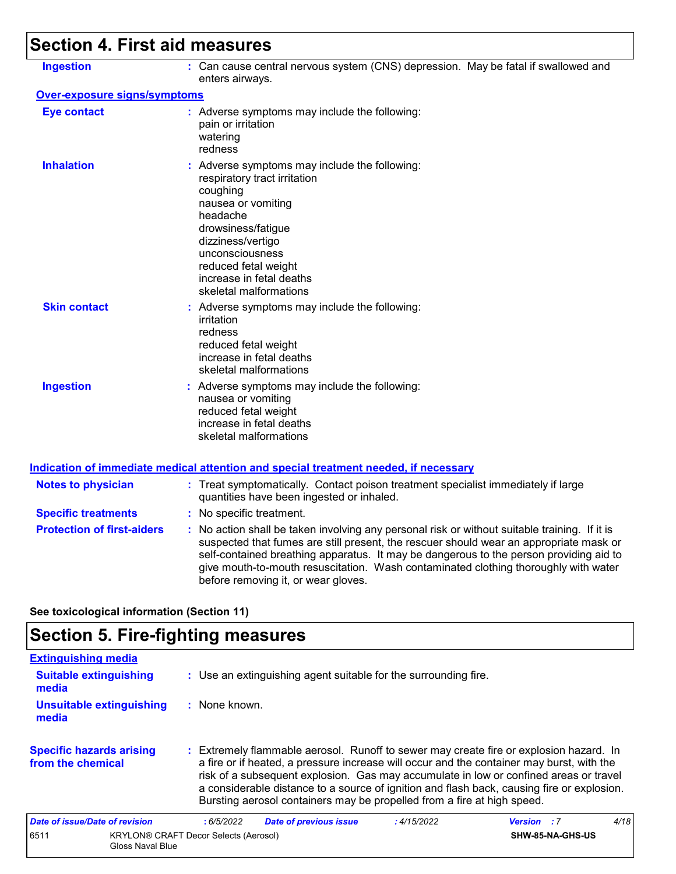# **Section 4. First aid measures**

| <b>Ingestion</b>                  | : Can cause central nervous system (CNS) depression. May be fatal if swallowed and<br>enters airways.                                                                                                                                                                                                                                                                                                           |
|-----------------------------------|-----------------------------------------------------------------------------------------------------------------------------------------------------------------------------------------------------------------------------------------------------------------------------------------------------------------------------------------------------------------------------------------------------------------|
| Over-exposure signs/symptoms      |                                                                                                                                                                                                                                                                                                                                                                                                                 |
| <b>Eye contact</b>                | : Adverse symptoms may include the following:<br>pain or irritation<br>watering<br>redness                                                                                                                                                                                                                                                                                                                      |
| <b>Inhalation</b>                 | : Adverse symptoms may include the following:<br>respiratory tract irritation<br>coughing<br>nausea or vomiting<br>headache<br>drowsiness/fatigue<br>dizziness/vertigo<br>unconsciousness<br>reduced fetal weight<br>increase in fetal deaths<br>skeletal malformations                                                                                                                                         |
| <b>Skin contact</b>               | : Adverse symptoms may include the following:<br>irritation<br>redness<br>reduced fetal weight<br>increase in fetal deaths<br>skeletal malformations                                                                                                                                                                                                                                                            |
| <b>Ingestion</b>                  | : Adverse symptoms may include the following:<br>nausea or vomiting<br>reduced fetal weight<br>increase in fetal deaths<br>skeletal malformations                                                                                                                                                                                                                                                               |
|                                   | Indication of immediate medical attention and special treatment needed, if necessary                                                                                                                                                                                                                                                                                                                            |
| <b>Notes to physician</b>         | : Treat symptomatically. Contact poison treatment specialist immediately if large<br>quantities have been ingested or inhaled.                                                                                                                                                                                                                                                                                  |
| <b>Specific treatments</b>        | : No specific treatment.                                                                                                                                                                                                                                                                                                                                                                                        |
| <b>Protection of first-aiders</b> | : No action shall be taken involving any personal risk or without suitable training. If it is<br>suspected that fumes are still present, the rescuer should wear an appropriate mask or<br>self-contained breathing apparatus. It may be dangerous to the person providing aid to<br>give mouth-to-mouth resuscitation. Wash contaminated clothing thoroughly with water<br>before removing it, or wear gloves. |
|                                   |                                                                                                                                                                                                                                                                                                                                                                                                                 |

**See toxicological information (Section 11)**

## **Section 5. Fire-fighting measures**

| <b>Extinguishing media</b>                           |                                                                                                                                                                                                                                                                                                                                                                                                                                                       |             |                    |      |
|------------------------------------------------------|-------------------------------------------------------------------------------------------------------------------------------------------------------------------------------------------------------------------------------------------------------------------------------------------------------------------------------------------------------------------------------------------------------------------------------------------------------|-------------|--------------------|------|
| <b>Suitable extinguishing</b><br>media               | : Use an extinguishing agent suitable for the surrounding fire.                                                                                                                                                                                                                                                                                                                                                                                       |             |                    |      |
| <b>Unsuitable extinguishing</b><br>media             | $:$ None known.                                                                                                                                                                                                                                                                                                                                                                                                                                       |             |                    |      |
| <b>Specific hazards arising</b><br>from the chemical | : Extremely flammable aerosol. Runoff to sewer may create fire or explosion hazard. In<br>a fire or if heated, a pressure increase will occur and the container may burst, with the<br>risk of a subsequent explosion. Gas may accumulate in low or confined areas or travel<br>a considerable distance to a source of ignition and flash back, causing fire or explosion.<br>Bursting aerosol containers may be propelled from a fire at high speed. |             |                    |      |
| Date of issue/Date of revision                       | <b>Date of previous issue</b><br>:6/5/2022                                                                                                                                                                                                                                                                                                                                                                                                            | : 4/15/2022 | <b>Version</b> : 7 | 4/18 |
| 6511<br>Gloss Naval Blue                             | <b>KRYLON® CRAFT Decor Selects (Aerosol)</b>                                                                                                                                                                                                                                                                                                                                                                                                          |             | SHW-85-NA-GHS-US   |      |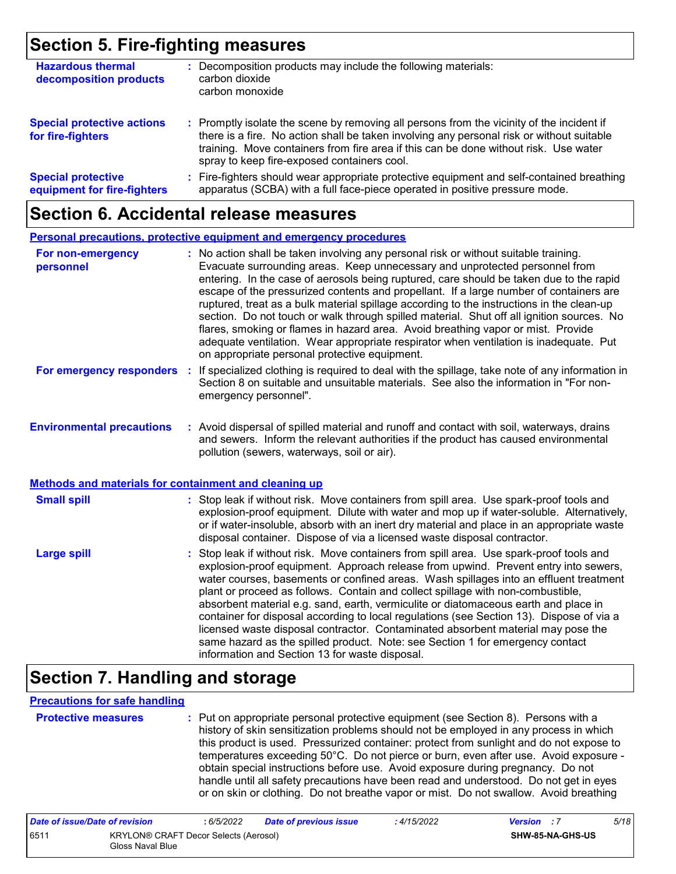### **Section 5. Fire-fighting measures**

| <b>Hazardous thermal</b><br>decomposition products       | Decomposition products may include the following materials:<br>carbon dioxide<br>carbon monoxide                                                                                                                                                                                                                              |
|----------------------------------------------------------|-------------------------------------------------------------------------------------------------------------------------------------------------------------------------------------------------------------------------------------------------------------------------------------------------------------------------------|
| <b>Special protective actions</b><br>for fire-fighters   | : Promptly isolate the scene by removing all persons from the vicinity of the incident if<br>there is a fire. No action shall be taken involving any personal risk or without suitable<br>training. Move containers from fire area if this can be done without risk. Use water<br>spray to keep fire-exposed containers cool. |
| <b>Special protective</b><br>equipment for fire-fighters | : Fire-fighters should wear appropriate protective equipment and self-contained breathing<br>apparatus (SCBA) with a full face-piece operated in positive pressure mode.                                                                                                                                                      |

### **Section 6. Accidental release measures**

|                                                                                                  | <b>Personal precautions, protective equipment and emergency procedures</b>                                                                                                                                                                                                                                                                                                                                                                                                                                                                                                                                                                                                                                                                                                       |
|--------------------------------------------------------------------------------------------------|----------------------------------------------------------------------------------------------------------------------------------------------------------------------------------------------------------------------------------------------------------------------------------------------------------------------------------------------------------------------------------------------------------------------------------------------------------------------------------------------------------------------------------------------------------------------------------------------------------------------------------------------------------------------------------------------------------------------------------------------------------------------------------|
| For non-emergency<br>personnel                                                                   | : No action shall be taken involving any personal risk or without suitable training.<br>Evacuate surrounding areas. Keep unnecessary and unprotected personnel from<br>entering. In the case of aerosols being ruptured, care should be taken due to the rapid<br>escape of the pressurized contents and propellant. If a large number of containers are<br>ruptured, treat as a bulk material spillage according to the instructions in the clean-up<br>section. Do not touch or walk through spilled material. Shut off all ignition sources. No<br>flares, smoking or flames in hazard area. Avoid breathing vapor or mist. Provide<br>adequate ventilation. Wear appropriate respirator when ventilation is inadequate. Put<br>on appropriate personal protective equipment. |
| For emergency responders                                                                         | : If specialized clothing is required to deal with the spillage, take note of any information in<br>Section 8 on suitable and unsuitable materials. See also the information in "For non-<br>emergency personnel".                                                                                                                                                                                                                                                                                                                                                                                                                                                                                                                                                               |
| <b>Environmental precautions</b><br><b>Methods and materials for containment and cleaning up</b> | : Avoid dispersal of spilled material and runoff and contact with soil, waterways, drains<br>and sewers. Inform the relevant authorities if the product has caused environmental<br>pollution (sewers, waterways, soil or air).                                                                                                                                                                                                                                                                                                                                                                                                                                                                                                                                                  |
|                                                                                                  |                                                                                                                                                                                                                                                                                                                                                                                                                                                                                                                                                                                                                                                                                                                                                                                  |
| <b>Small spill</b>                                                                               | : Stop leak if without risk. Move containers from spill area. Use spark-proof tools and<br>explosion-proof equipment. Dilute with water and mop up if water-soluble. Alternatively,<br>or if water-insoluble, absorb with an inert dry material and place in an appropriate waste<br>disposal container. Dispose of via a licensed waste disposal contractor.                                                                                                                                                                                                                                                                                                                                                                                                                    |
| <b>Large spill</b>                                                                               | Stop leak if without risk. Move containers from spill area. Use spark-proof tools and<br>explosion-proof equipment. Approach release from upwind. Prevent entry into sewers,<br>water courses, basements or confined areas. Wash spillages into an effluent treatment<br>plant or proceed as follows. Contain and collect spillage with non-combustible,<br>absorbent material e.g. sand, earth, vermiculite or diatomaceous earth and place in<br>container for disposal according to local regulations (see Section 13). Dispose of via a<br>licensed waste disposal contractor. Contaminated absorbent material may pose the<br>same hazard as the spilled product. Note: see Section 1 for emergency contact<br>information and Section 13 for waste disposal.               |

### **Section 7. Handling and storage**

#### **Precautions for safe handling**

|  | FIULGULIVU IIIGAƏLI |  |  |
|--|---------------------|--|--|
|  |                     |  |  |
|  |                     |  |  |
|  |                     |  |  |
|  |                     |  |  |

**Protective measures :** Put on appropriate personal protective equipment (see Section 8). Persons with a history of skin sensitization problems should not be employed in any process in which this product is used. Pressurized container: protect from sunlight and do not expose to temperatures exceeding 50°C. Do not pierce or burn, even after use. Avoid exposure obtain special instructions before use. Avoid exposure during pregnancy. Do not handle until all safety precautions have been read and understood. Do not get in eyes or on skin or clothing. Do not breathe vapor or mist. Do not swallow. Avoid breathing

| Date of issue/Date of revision |                                                           | 6/5/2022 | <b>Date of previous issue</b> | : 4/15/2022 | <b>Version</b> : 7 |                         | 5/18 |
|--------------------------------|-----------------------------------------------------------|----------|-------------------------------|-------------|--------------------|-------------------------|------|
| 6511                           | KRYLON® CRAFT Decor Selects (Aerosol)<br>Gloss Naval Blue |          |                               |             |                    | <b>SHW-85-NA-GHS-US</b> |      |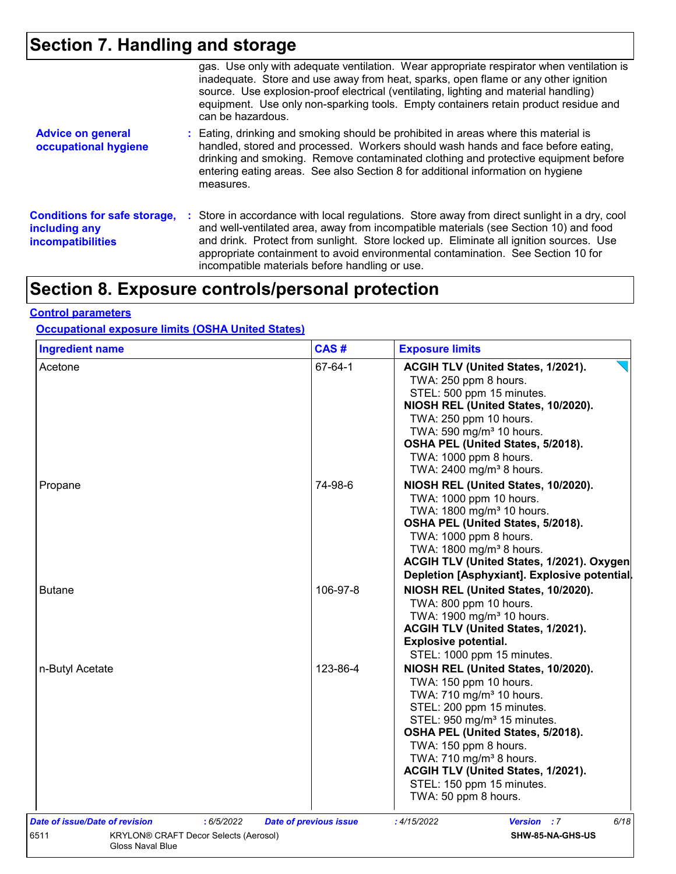### **Section 7. Handling and storage**

|                                                                                  | gas. Use only with adequate ventilation. Wear appropriate respirator when ventilation is<br>inadequate. Store and use away from heat, sparks, open flame or any other ignition<br>source. Use explosion-proof electrical (ventilating, lighting and material handling)<br>equipment. Use only non-sparking tools. Empty containers retain product residue and<br>can be hazardous.                                   |
|----------------------------------------------------------------------------------|----------------------------------------------------------------------------------------------------------------------------------------------------------------------------------------------------------------------------------------------------------------------------------------------------------------------------------------------------------------------------------------------------------------------|
| <b>Advice on general</b><br>occupational hygiene                                 | : Eating, drinking and smoking should be prohibited in areas where this material is<br>handled, stored and processed. Workers should wash hands and face before eating,<br>drinking and smoking. Remove contaminated clothing and protective equipment before<br>entering eating areas. See also Section 8 for additional information on hygiene<br>measures.                                                        |
| <b>Conditions for safe storage,</b><br>including any<br><b>incompatibilities</b> | : Store in accordance with local regulations. Store away from direct sunlight in a dry, cool<br>and well-ventilated area, away from incompatible materials (see Section 10) and food<br>and drink. Protect from sunlight. Store locked up. Eliminate all ignition sources. Use<br>appropriate containment to avoid environmental contamination. See Section 10 for<br>incompatible materials before handling or use. |

## **Section 8. Exposure controls/personal protection**

#### **Control parameters**

#### **Occupational exposure limits (OSHA United States)**

| <b>Ingredient name</b> | CAS#     | <b>Exposure limits</b>                                                                                                                                                                                                                                                                                                                                                        |
|------------------------|----------|-------------------------------------------------------------------------------------------------------------------------------------------------------------------------------------------------------------------------------------------------------------------------------------------------------------------------------------------------------------------------------|
| Acetone                | 67-64-1  | ACGIH TLV (United States, 1/2021).<br>TWA: 250 ppm 8 hours.<br>STEL: 500 ppm 15 minutes.<br>NIOSH REL (United States, 10/2020).<br>TWA: 250 ppm 10 hours.<br>TWA: 590 mg/m <sup>3</sup> 10 hours.<br>OSHA PEL (United States, 5/2018).<br>TWA: 1000 ppm 8 hours.<br>TWA: 2400 mg/m <sup>3</sup> 8 hours.                                                                      |
| Propane                | 74-98-6  | NIOSH REL (United States, 10/2020).<br>TWA: 1000 ppm 10 hours.<br>TWA: 1800 mg/m <sup>3</sup> 10 hours.<br>OSHA PEL (United States, 5/2018).<br>TWA: 1000 ppm 8 hours.<br>TWA: 1800 mg/m <sup>3</sup> 8 hours.<br>ACGIH TLV (United States, 1/2021). Oxygen<br>Depletion [Asphyxiant]. Explosive potential                                                                    |
| <b>Butane</b>          | 106-97-8 | NIOSH REL (United States, 10/2020).<br>TWA: 800 ppm 10 hours.<br>TWA: 1900 mg/m <sup>3</sup> 10 hours.<br>ACGIH TLV (United States, 1/2021).<br><b>Explosive potential.</b><br>STEL: 1000 ppm 15 minutes.                                                                                                                                                                     |
| n-Butyl Acetate        | 123-86-4 | NIOSH REL (United States, 10/2020).<br>TWA: 150 ppm 10 hours.<br>TWA: 710 mg/m <sup>3</sup> 10 hours.<br>STEL: 200 ppm 15 minutes.<br>STEL: 950 mg/m <sup>3</sup> 15 minutes.<br>OSHA PEL (United States, 5/2018).<br>TWA: 150 ppm 8 hours.<br>TWA: 710 mg/m <sup>3</sup> 8 hours.<br>ACGIH TLV (United States, 1/2021).<br>STEL: 150 ppm 15 minutes.<br>TWA: 50 ppm 8 hours. |
|                        |          |                                                                                                                                                                                                                                                                                                                                                                               |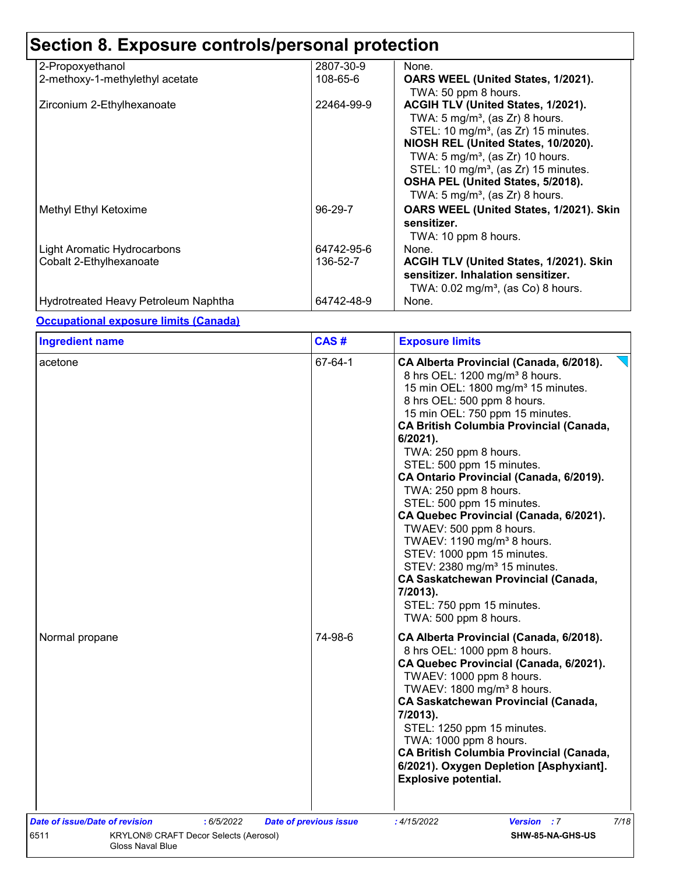| 2-Propoxyethanol                     | 2807-30-9  | None.                                                                                                                                                                                                                                                                                                                                                              |
|--------------------------------------|------------|--------------------------------------------------------------------------------------------------------------------------------------------------------------------------------------------------------------------------------------------------------------------------------------------------------------------------------------------------------------------|
| 2-methoxy-1-methylethyl acetate      | 108-65-6   | OARS WEEL (United States, 1/2021).<br>TWA: 50 ppm 8 hours.                                                                                                                                                                                                                                                                                                         |
| Zirconium 2-Ethylhexanoate           | 22464-99-9 | ACGIH TLV (United States, 1/2021).<br>TWA: 5 mg/m <sup>3</sup> , (as Zr) 8 hours.<br>STEL: 10 mg/m <sup>3</sup> , (as Zr) 15 minutes.<br>NIOSH REL (United States, 10/2020).<br>TWA: $5 \text{ mg/m}^3$ , (as Zr) 10 hours.<br>STEL: 10 mg/m <sup>3</sup> , (as Zr) 15 minutes.<br>OSHA PEL (United States, 5/2018).<br>TWA: $5 \text{ mg/m}^3$ , (as Zr) 8 hours. |
| Methyl Ethyl Ketoxime                | 96-29-7    | OARS WEEL (United States, 1/2021). Skin<br>sensitizer.<br>TWA: 10 ppm 8 hours.                                                                                                                                                                                                                                                                                     |
| Light Aromatic Hydrocarbons          | 64742-95-6 | None.                                                                                                                                                                                                                                                                                                                                                              |
| Cobalt 2-Ethylhexanoate              | 136-52-7   | ACGIH TLV (United States, 1/2021). Skin<br>sensitizer. Inhalation sensitizer.<br>TWA: $0.02$ mg/m <sup>3</sup> , (as Co) 8 hours.                                                                                                                                                                                                                                  |
| Hydrotreated Heavy Petroleum Naphtha | 64742-48-9 | None.                                                                                                                                                                                                                                                                                                                                                              |

#### **Occupational exposure limits (Canada)**

| <b>Ingredient name</b>                                                   | CAS#                          | <b>Exposure limits</b>                                                                                                                                                                                                                                                                                                                                                                                                                                                                                                                                                                                                                                                                                                                     |
|--------------------------------------------------------------------------|-------------------------------|--------------------------------------------------------------------------------------------------------------------------------------------------------------------------------------------------------------------------------------------------------------------------------------------------------------------------------------------------------------------------------------------------------------------------------------------------------------------------------------------------------------------------------------------------------------------------------------------------------------------------------------------------------------------------------------------------------------------------------------------|
| acetone                                                                  | 67-64-1                       | CA Alberta Provincial (Canada, 6/2018).<br>8 hrs OEL: 1200 mg/m <sup>3</sup> 8 hours.<br>15 min OEL: 1800 mg/m <sup>3</sup> 15 minutes.<br>8 hrs OEL: 500 ppm 8 hours.<br>15 min OEL: 750 ppm 15 minutes.<br><b>CA British Columbia Provincial (Canada,</b><br>$6/2021$ ).<br>TWA: 250 ppm 8 hours.<br>STEL: 500 ppm 15 minutes.<br>CA Ontario Provincial (Canada, 6/2019).<br>TWA: 250 ppm 8 hours.<br>STEL: 500 ppm 15 minutes.<br>CA Quebec Provincial (Canada, 6/2021).<br>TWAEV: 500 ppm 8 hours.<br>TWAEV: 1190 mg/m <sup>3</sup> 8 hours.<br>STEV: 1000 ppm 15 minutes.<br>STEV: 2380 mg/m <sup>3</sup> 15 minutes.<br><b>CA Saskatchewan Provincial (Canada,</b><br>7/2013).<br>STEL: 750 ppm 15 minutes.<br>TWA: 500 ppm 8 hours. |
| Normal propane                                                           | 74-98-6                       | CA Alberta Provincial (Canada, 6/2018).<br>8 hrs OEL: 1000 ppm 8 hours.<br>CA Quebec Provincial (Canada, 6/2021).<br>TWAEV: 1000 ppm 8 hours.<br>TWAEV: 1800 mg/m <sup>3</sup> 8 hours.<br><b>CA Saskatchewan Provincial (Canada,</b><br>7/2013).<br>STEL: 1250 ppm 15 minutes.<br>TWA: 1000 ppm 8 hours.<br><b>CA British Columbia Provincial (Canada,</b><br>6/2021). Oxygen Depletion [Asphyxiant].<br><b>Explosive potential.</b>                                                                                                                                                                                                                                                                                                      |
| Date of issue/Date of revision<br>:6/5/2022                              | <b>Date of previous issue</b> | 7/18<br>:4/15/2022<br><b>Version</b> : 7                                                                                                                                                                                                                                                                                                                                                                                                                                                                                                                                                                                                                                                                                                   |
| 6511<br>KRYLON® CRAFT Decor Selects (Aerosol)<br><b>Gloss Naval Blue</b> |                               | SHW-85-NA-GHS-US                                                                                                                                                                                                                                                                                                                                                                                                                                                                                                                                                                                                                                                                                                                           |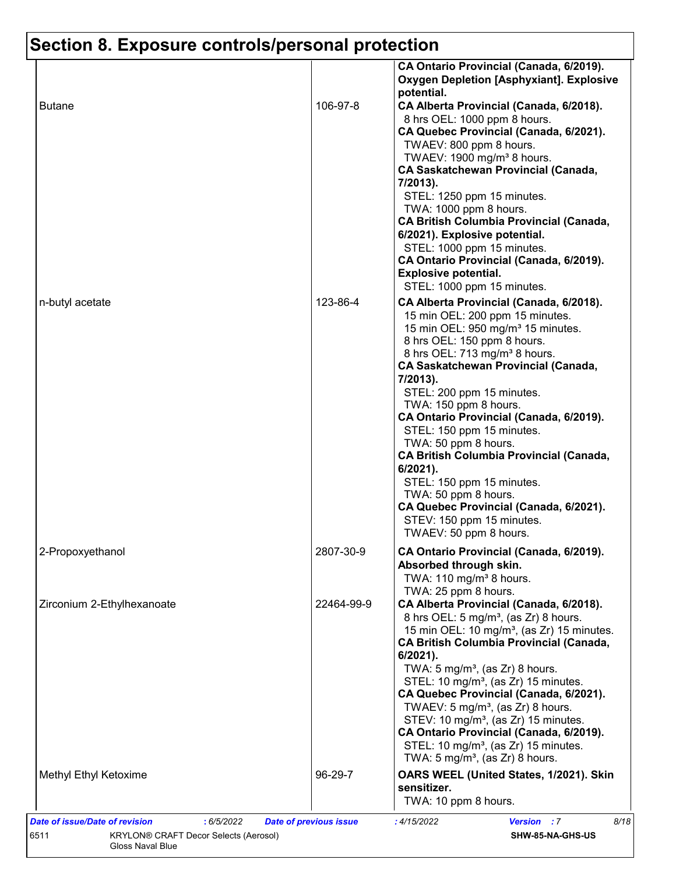|                            |            | CA Ontario Provincial (Canada, 6/2019).<br><b>Oxygen Depletion [Asphyxiant]. Explosive</b><br>potential.                                                                                                                                                                                                                                                                                                                                                                                                                                                                                                                                    |
|----------------------------|------------|---------------------------------------------------------------------------------------------------------------------------------------------------------------------------------------------------------------------------------------------------------------------------------------------------------------------------------------------------------------------------------------------------------------------------------------------------------------------------------------------------------------------------------------------------------------------------------------------------------------------------------------------|
| <b>Butane</b>              | 106-97-8   | CA Alberta Provincial (Canada, 6/2018).<br>8 hrs OEL: 1000 ppm 8 hours.<br>CA Quebec Provincial (Canada, 6/2021).<br>TWAEV: 800 ppm 8 hours.<br>TWAEV: 1900 mg/m <sup>3</sup> 8 hours.<br><b>CA Saskatchewan Provincial (Canada,</b><br>7/2013).<br>STEL: 1250 ppm 15 minutes.<br>TWA: 1000 ppm 8 hours.<br><b>CA British Columbia Provincial (Canada,</b><br>6/2021). Explosive potential.<br>STEL: 1000 ppm 15 minutes.<br>CA Ontario Provincial (Canada, 6/2019).<br><b>Explosive potential.</b><br>STEL: 1000 ppm 15 minutes.                                                                                                           |
| n-butyl acetate            | 123-86-4   | CA Alberta Provincial (Canada, 6/2018).<br>15 min OEL: 200 ppm 15 minutes.<br>15 min OEL: 950 mg/m <sup>3</sup> 15 minutes.<br>8 hrs OEL: 150 ppm 8 hours.<br>8 hrs OEL: 713 mg/m <sup>3</sup> 8 hours.<br><b>CA Saskatchewan Provincial (Canada,</b><br>7/2013).<br>STEL: 200 ppm 15 minutes.<br>TWA: 150 ppm 8 hours.<br>CA Ontario Provincial (Canada, 6/2019).<br>STEL: 150 ppm 15 minutes.<br>TWA: 50 ppm 8 hours.<br><b>CA British Columbia Provincial (Canada,</b><br>6/2021).<br>STEL: 150 ppm 15 minutes.<br>TWA: 50 ppm 8 hours.<br>CA Quebec Provincial (Canada, 6/2021).<br>STEV: 150 ppm 15 minutes.<br>TWAEV: 50 ppm 8 hours. |
| 2-Propoxyethanol           | 2807-30-9  | CA Ontario Provincial (Canada, 6/2019).<br>Absorbed through skin.<br>TWA: 110 mg/m <sup>3</sup> 8 hours.<br>TWA: 25 ppm 8 hours.                                                                                                                                                                                                                                                                                                                                                                                                                                                                                                            |
| Zirconium 2-Ethylhexanoate | 22464-99-9 | CA Alberta Provincial (Canada, 6/2018).<br>8 hrs OEL: 5 mg/m <sup>3</sup> , (as Zr) 8 hours.<br>15 min OEL: 10 mg/m <sup>3</sup> , (as Zr) 15 minutes.<br><b>CA British Columbia Provincial (Canada,</b><br>$6/2021$ ).<br>TWA: $5 \text{ mg/m}^3$ , (as Zr) 8 hours.<br>STEL: 10 mg/m <sup>3</sup> , (as Zr) 15 minutes.<br>CA Quebec Provincial (Canada, 6/2021).<br>TWAEV: 5 mg/m <sup>3</sup> , (as Zr) 8 hours.<br>STEV: 10 mg/m <sup>3</sup> , (as Zr) 15 minutes.<br>CA Ontario Provincial (Canada, 6/2019).<br>STEL: 10 mg/m <sup>3</sup> , (as Zr) 15 minutes.<br>TWA: 5 mg/m <sup>3</sup> , (as Zr) 8 hours.                      |
| Methyl Ethyl Ketoxime      | 96-29-7    | OARS WEEL (United States, 1/2021). Skin<br>sensitizer.<br>TWA: 10 ppm 8 hours.                                                                                                                                                                                                                                                                                                                                                                                                                                                                                                                                                              |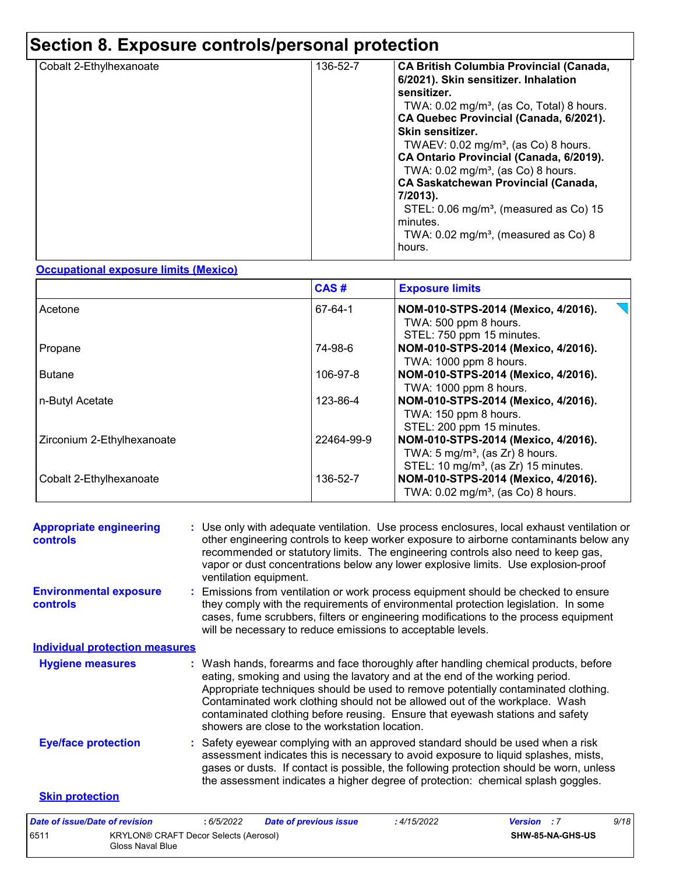| Cobalt 2-Ethylhexanoate | 136-52-7 | <b>CA British Columbia Provincial (Canada,</b><br>6/2021). Skin sensitizer. Inhalation<br>sensitizer.<br>TWA: $0.02 \text{ mg/m}^3$ , (as Co, Total) 8 hours.<br>CA Quebec Provincial (Canada, 6/2021).<br>Skin sensitizer.<br>TWAEV: $0.02$ mg/m <sup>3</sup> , (as Co) 8 hours.<br>CA Ontario Provincial (Canada, 6/2019).<br>TWA: $0.02$ mg/m <sup>3</sup> , (as Co) 8 hours.<br><b>CA Saskatchewan Provincial (Canada,</b><br>7/2013).<br>STEL: 0.06 mg/m <sup>3</sup> , (measured as Co) 15<br>minutes.<br>TWA: $0.02 \text{ mg/m}^3$ , (measured as Co) 8<br>hours. |
|-------------------------|----------|---------------------------------------------------------------------------------------------------------------------------------------------------------------------------------------------------------------------------------------------------------------------------------------------------------------------------------------------------------------------------------------------------------------------------------------------------------------------------------------------------------------------------------------------------------------------------|
|-------------------------|----------|---------------------------------------------------------------------------------------------------------------------------------------------------------------------------------------------------------------------------------------------------------------------------------------------------------------------------------------------------------------------------------------------------------------------------------------------------------------------------------------------------------------------------------------------------------------------------|

#### **Occupational exposure limits (Mexico)**

|                            | CAS#       | <b>Exposure limits</b>                                                                                                                |
|----------------------------|------------|---------------------------------------------------------------------------------------------------------------------------------------|
| Acetone                    | 67-64-1    | NOM-010-STPS-2014 (Mexico, 4/2016).<br>TWA: 500 ppm 8 hours.<br>STEL: 750 ppm 15 minutes.                                             |
| Propane                    | 74-98-6    | NOM-010-STPS-2014 (Mexico, 4/2016).<br>TWA: 1000 ppm 8 hours.                                                                         |
| <b>Butane</b>              | 106-97-8   | NOM-010-STPS-2014 (Mexico, 4/2016).<br>TWA: 1000 ppm 8 hours.                                                                         |
| n-Butyl Acetate            | 123-86-4   | NOM-010-STPS-2014 (Mexico, 4/2016).<br>TWA: 150 ppm 8 hours.<br>STEL: 200 ppm 15 minutes.                                             |
| Zirconium 2-Ethylhexanoate | 22464-99-9 | NOM-010-STPS-2014 (Mexico, 4/2016).<br>TWA: $5 \text{ mg/m}^3$ , (as Zr) 8 hours.<br>STEL: 10 mg/m <sup>3</sup> , (as Zr) 15 minutes. |
| Cobalt 2-Ethylhexanoate    | 136-52-7   | NOM-010-STPS-2014 (Mexico, 4/2016).<br>TWA: $0.02$ mg/m <sup>3</sup> , (as Co) 8 hours.                                               |

| <b>Appropriate engineering</b><br><b>controls</b> | : Use only with adequate ventilation. Use process enclosures, local exhaust ventilation or<br>other engineering controls to keep worker exposure to airborne contaminants below any<br>recommended or statutory limits. The engineering controls also need to keep gas,<br>vapor or dust concentrations below any lower explosive limits. Use explosion-proof<br>ventilation equipment.                                                                                     |
|---------------------------------------------------|-----------------------------------------------------------------------------------------------------------------------------------------------------------------------------------------------------------------------------------------------------------------------------------------------------------------------------------------------------------------------------------------------------------------------------------------------------------------------------|
| <b>Environmental exposure</b><br><b>controls</b>  | : Emissions from ventilation or work process equipment should be checked to ensure<br>they comply with the requirements of environmental protection legislation. In some<br>cases, fume scrubbers, filters or engineering modifications to the process equipment<br>will be necessary to reduce emissions to acceptable levels.                                                                                                                                             |
| <b>Individual protection measures</b>             |                                                                                                                                                                                                                                                                                                                                                                                                                                                                             |
| <b>Hygiene measures</b>                           | : Wash hands, forearms and face thoroughly after handling chemical products, before<br>eating, smoking and using the lavatory and at the end of the working period.<br>Appropriate techniques should be used to remove potentially contaminated clothing.<br>Contaminated work clothing should not be allowed out of the workplace. Wash<br>contaminated clothing before reusing. Ensure that eyewash stations and safety<br>showers are close to the workstation location. |
| <b>Eye/face protection</b>                        | : Safety eyewear complying with an approved standard should be used when a risk<br>assessment indicates this is necessary to avoid exposure to liquid splashes, mists,<br>gases or dusts. If contact is possible, the following protection should be worn, unless<br>the assessment indicates a higher degree of protection: chemical splash goggles.                                                                                                                       |
| <b>Skin protection</b>                            |                                                                                                                                                                                                                                                                                                                                                                                                                                                                             |

| Date of issue/Date of revision |                                                                  | : 6/5/2022 | <b>Date of previous issue</b> | : 4/15/2022 | <b>Version</b> : 7 |                         | 9/18 |  |
|--------------------------------|------------------------------------------------------------------|------------|-------------------------------|-------------|--------------------|-------------------------|------|--|
| 6511                           | <b>KRYLON® CRAFT Decor Selects (Aerosol)</b><br>Gloss Naval Blue |            |                               |             |                    | <b>SHW-85-NA-GHS-US</b> |      |  |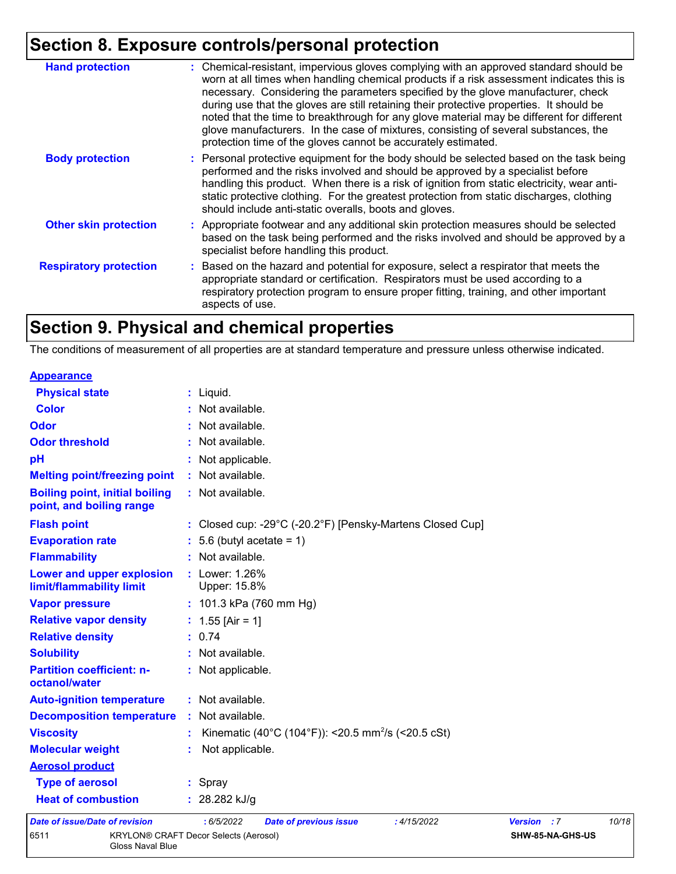| <b>Hand protection</b>        | : Chemical-resistant, impervious gloves complying with an approved standard should be<br>worn at all times when handling chemical products if a risk assessment indicates this is<br>necessary. Considering the parameters specified by the glove manufacturer, check<br>during use that the gloves are still retaining their protective properties. It should be<br>noted that the time to breakthrough for any glove material may be different for different<br>glove manufacturers. In the case of mixtures, consisting of several substances, the<br>protection time of the gloves cannot be accurately estimated. |
|-------------------------------|------------------------------------------------------------------------------------------------------------------------------------------------------------------------------------------------------------------------------------------------------------------------------------------------------------------------------------------------------------------------------------------------------------------------------------------------------------------------------------------------------------------------------------------------------------------------------------------------------------------------|
| <b>Body protection</b>        | : Personal protective equipment for the body should be selected based on the task being<br>performed and the risks involved and should be approved by a specialist before<br>handling this product. When there is a risk of ignition from static electricity, wear anti-<br>static protective clothing. For the greatest protection from static discharges, clothing<br>should include anti-static overalls, boots and gloves.                                                                                                                                                                                         |
| <b>Other skin protection</b>  | : Appropriate footwear and any additional skin protection measures should be selected<br>based on the task being performed and the risks involved and should be approved by a<br>specialist before handling this product.                                                                                                                                                                                                                                                                                                                                                                                              |
| <b>Respiratory protection</b> | : Based on the hazard and potential for exposure, select a respirator that meets the<br>appropriate standard or certification. Respirators must be used according to a<br>respiratory protection program to ensure proper fitting, training, and other important<br>aspects of use.                                                                                                                                                                                                                                                                                                                                    |

### **Section 9. Physical and chemical properties**

The conditions of measurement of all properties are at standard temperature and pressure unless otherwise indicated.

| <b>Appearance</b>                                                 |                                                                |                |                  |       |
|-------------------------------------------------------------------|----------------------------------------------------------------|----------------|------------------|-------|
| <b>Physical state</b>                                             | : Liquid.                                                      |                |                  |       |
| <b>Color</b>                                                      | : Not available.                                               |                |                  |       |
| <b>Odor</b>                                                       | : Not available.                                               |                |                  |       |
| <b>Odor threshold</b>                                             | : Not available.                                               |                |                  |       |
| pH                                                                | : Not applicable.                                              |                |                  |       |
| <b>Melting point/freezing point</b>                               | : Not available.                                               |                |                  |       |
| <b>Boiling point, initial boiling</b><br>point, and boiling range | : Not available.                                               |                |                  |       |
| <b>Flash point</b>                                                | : Closed cup: -29°C (-20.2°F) [Pensky-Martens Closed Cup]      |                |                  |       |
| <b>Evaporation rate</b>                                           | $: 5.6$ (butyl acetate = 1)                                    |                |                  |       |
| <b>Flammability</b>                                               | : Not available.                                               |                |                  |       |
| Lower and upper explosion<br>limit/flammability limit             | : Lower: 1.26%<br>Upper: 15.8%                                 |                |                  |       |
| <b>Vapor pressure</b>                                             | : $101.3$ kPa (760 mm Hg)                                      |                |                  |       |
| <b>Relative vapor density</b>                                     | : $1.55$ [Air = 1]                                             |                |                  |       |
| <b>Relative density</b>                                           | : 0.74                                                         |                |                  |       |
| <b>Solubility</b>                                                 | : Not available.                                               |                |                  |       |
| <b>Partition coefficient: n-</b><br>octanol/water                 | : Not applicable.                                              |                |                  |       |
| <b>Auto-ignition temperature</b>                                  | : Not available.                                               |                |                  |       |
| <b>Decomposition temperature</b>                                  | : Not available.                                               |                |                  |       |
| <b>Viscosity</b>                                                  | Kinematic (40°C (104°F)): <20.5 mm <sup>2</sup> /s (<20.5 cSt) |                |                  |       |
| <b>Molecular weight</b>                                           | Not applicable.                                                |                |                  |       |
| <b>Aerosol product</b>                                            |                                                                |                |                  |       |
| <b>Type of aerosol</b>                                            | : Spray                                                        |                |                  |       |
| <b>Heat of combustion</b>                                         | : $28.282$ kJ/g                                                |                |                  |       |
| <b>Date of issue/Date of revision</b>                             | : 6/5/2022<br><b>Date of previous issue</b><br>:4/15/2022      | <b>Version</b> | $\cdot$ : 7      | 10/18 |
| 6511                                                              | <b>KRYLON® CRAFT Decor Selects (Aerosol)</b>                   |                | SHW-85-NA-GHS-US |       |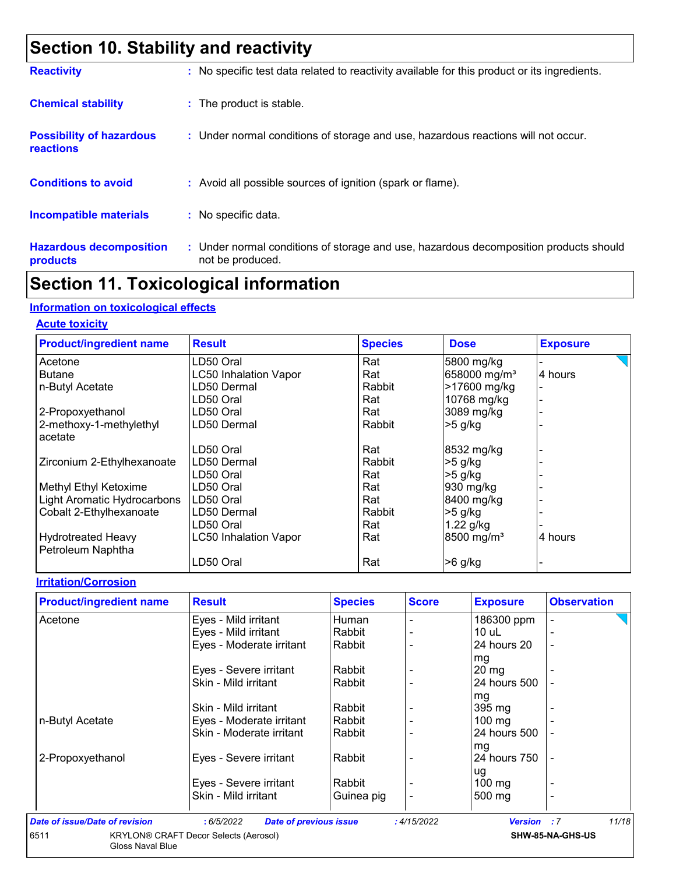### **Section 10. Stability and reactivity**

| <b>Reactivity</b>                            | : No specific test data related to reactivity available for this product or its ingredients.              |
|----------------------------------------------|-----------------------------------------------------------------------------------------------------------|
| <b>Chemical stability</b>                    | : The product is stable.                                                                                  |
| <b>Possibility of hazardous</b><br>reactions | : Under normal conditions of storage and use, hazardous reactions will not occur.                         |
| <b>Conditions to avoid</b>                   | : Avoid all possible sources of ignition (spark or flame).                                                |
| <b>Incompatible materials</b>                | : No specific data.                                                                                       |
| <b>Hazardous decomposition</b><br>products   | : Under normal conditions of storage and use, hazardous decomposition products should<br>not be produced. |

### **Section 11. Toxicological information**

#### **Information on toxicological effects**

#### **Acute toxicity**

| <b>Product/ingredient name</b> | <b>Result</b>                | <b>Species</b> | <b>Dose</b>              | <b>Exposure</b> |
|--------------------------------|------------------------------|----------------|--------------------------|-----------------|
| Acetone                        | LD50 Oral                    | Rat            | 5800 mg/kg               |                 |
| <b>Butane</b>                  | <b>LC50 Inhalation Vapor</b> | Rat            | 658000 mg/m <sup>3</sup> | 4 hours         |
| n-Butyl Acetate                | LD50 Dermal                  | Rabbit         | >17600 mg/kg             |                 |
|                                | LD50 Oral                    | Rat            | 10768 mg/kg              |                 |
| 2-Propoxyethanol               | LD50 Oral                    | Rat            | 3089 mg/kg               |                 |
| 2-methoxy-1-methylethyl        | LD50 Dermal                  | Rabbit         | $>5$ g/kg                |                 |
| acetate                        |                              |                |                          |                 |
|                                | LD50 Oral                    | Rat            | 8532 mg/kg               |                 |
| Zirconium 2-Ethylhexanoate     | LD50 Dermal                  | Rabbit         | $>5$ g/kg                |                 |
|                                | LD50 Oral                    | Rat            | $>5$ g/kg                |                 |
| Methyl Ethyl Ketoxime          | LD50 Oral                    | Rat            | 930 mg/kg                |                 |
| Light Aromatic Hydrocarbons    | LD50 Oral                    | Rat            | 8400 mg/kg               |                 |
| Cobalt 2-Ethylhexanoate        | LD50 Dermal                  | Rabbit         | $>5$ g/kg                |                 |
|                                | LD50 Oral                    | Rat            | $1.22$ g/kg              |                 |
| <b>Hydrotreated Heavy</b>      | <b>LC50 Inhalation Vapor</b> | Rat            | 8500 mg/m <sup>3</sup>   | 4 hours         |
| Petroleum Naphtha              |                              |                |                          |                 |
|                                | LD50 Oral                    | Rat            | $>6$ g/kg                |                 |

#### **Irritation/Corrosion**

| <b>Product/ingredient name</b> | <b>Result</b>            | <b>Species</b> | <b>Score</b> | <b>Exposure</b>  | <b>Observation</b>       |
|--------------------------------|--------------------------|----------------|--------------|------------------|--------------------------|
| Acetone                        | Eyes - Mild irritant     | Human          |              | 186300 ppm       |                          |
|                                | Eyes - Mild irritant     | Rabbit         |              | 10 uL            |                          |
|                                | Eyes - Moderate irritant | Rabbit         |              | 24 hours 20      | $\blacksquare$           |
|                                |                          |                |              | mg               |                          |
|                                | Eyes - Severe irritant   | Rabbit         |              | 20 mg            |                          |
|                                | Skin - Mild irritant     | Rabbit         |              | 24 hours 500     |                          |
|                                |                          |                |              | mg               |                          |
|                                | Skin - Mild irritant     | Rabbit         |              | 395 mg           |                          |
| n-Butyl Acetate                | Eyes - Moderate irritant | Rabbit         |              | $100 \text{ mg}$ |                          |
|                                | Skin - Moderate irritant | Rabbit         |              | 24 hours 500     |                          |
|                                |                          |                |              | mg               |                          |
| 2-Propoxyethanol               | Eyes - Severe irritant   | Rabbit         |              | 24 hours 750     |                          |
|                                |                          |                |              | ug               |                          |
|                                | Eyes - Severe irritant   | Rabbit         |              | $100 \text{ mg}$ |                          |
|                                | Skin - Mild irritant     | Guinea pig     |              | 500 mg           | $\overline{\phantom{0}}$ |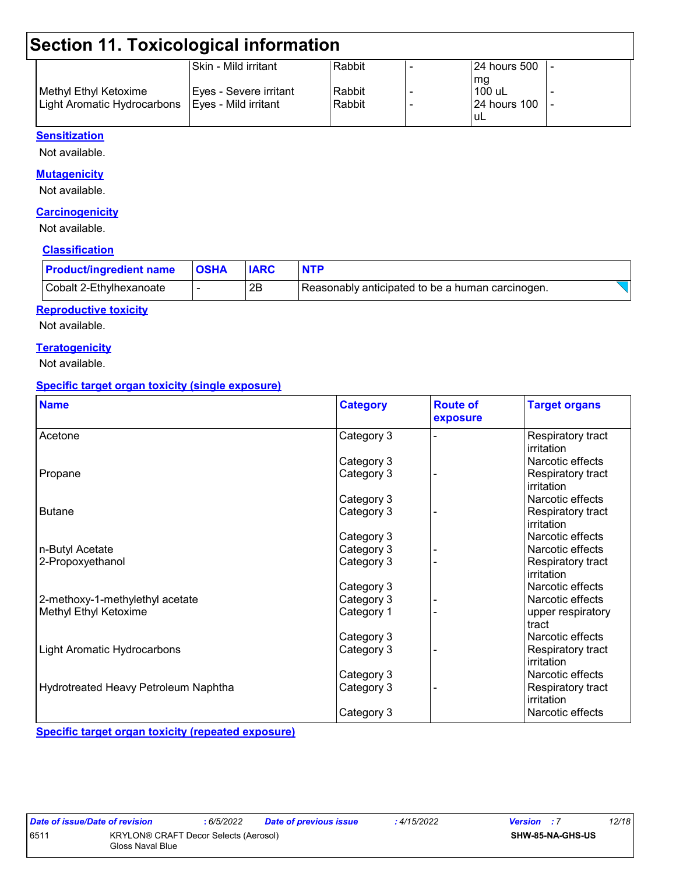### **Section 11. Toxicological information**

|                                                    | ISkin - Mild irritant  | Rabbit | 124 hours 500 |  |
|----------------------------------------------------|------------------------|--------|---------------|--|
|                                                    |                        |        | mq            |  |
| Methyl Ethyl Ketoxime                              | Eyes - Severe irritant | Rabbit | $100$ uL      |  |
| Light Aromatic Hydrocarbons   Eyes - Mild irritant |                        | Rabbit | 124 hours 100 |  |
|                                                    |                        |        | ' uL          |  |

#### **Sensitization**

Not available.

#### **Mutagenicity**

Not available.

#### **Carcinogenicity**

Not available.

#### **Classification**

| <b>Product/ingredient name</b> | <b>OSHA</b> |    | <b>NTP</b>                                       |  |
|--------------------------------|-------------|----|--------------------------------------------------|--|
| Cobalt 2-Ethylhexanoate        |             | 2Β | Reasonably anticipated to be a human carcinogen. |  |

#### **Reproductive toxicity**

Not available.

#### **Teratogenicity**

Not available.

#### **Specific target organ toxicity (single exposure)**

| <b>Name</b>                          | <b>Category</b> | <b>Route of</b><br>exposure | <b>Target organs</b>            |
|--------------------------------------|-----------------|-----------------------------|---------------------------------|
| Acetone                              | Category 3      |                             | Respiratory tract<br>irritation |
|                                      | Category 3      |                             | Narcotic effects                |
| Propane                              | Category 3      |                             | Respiratory tract<br>irritation |
|                                      | Category 3      |                             | Narcotic effects                |
| <b>Butane</b>                        | Category 3      |                             | Respiratory tract<br>irritation |
|                                      | Category 3      |                             | Narcotic effects                |
| n-Butyl Acetate                      | Category 3      |                             | Narcotic effects                |
| 2-Propoxyethanol                     | Category 3      |                             | Respiratory tract<br>irritation |
|                                      | Category 3      |                             | Narcotic effects                |
| 2-methoxy-1-methylethyl acetate      | Category 3      |                             | Narcotic effects                |
| Methyl Ethyl Ketoxime                | Category 1      |                             | upper respiratory<br>tract      |
|                                      | Category 3      |                             | Narcotic effects                |
| <b>Light Aromatic Hydrocarbons</b>   | Category 3      |                             | Respiratory tract<br>irritation |
|                                      | Category 3      |                             | Narcotic effects                |
| Hydrotreated Heavy Petroleum Naphtha | Category 3      |                             | Respiratory tract<br>irritation |
|                                      | Category 3      |                             | Narcotic effects                |

**Specific target organ toxicity (repeated exposure)**

|      | Date of issue/Date of revision | :6/5/2022                                    | <b>Dat</b> |
|------|--------------------------------|----------------------------------------------|------------|
| 6511 |                                | <b>KRYLON® CRAFT Decor Selects (Aerosol)</b> |            |
|      | Gloss Naval Blue               |                                              |            |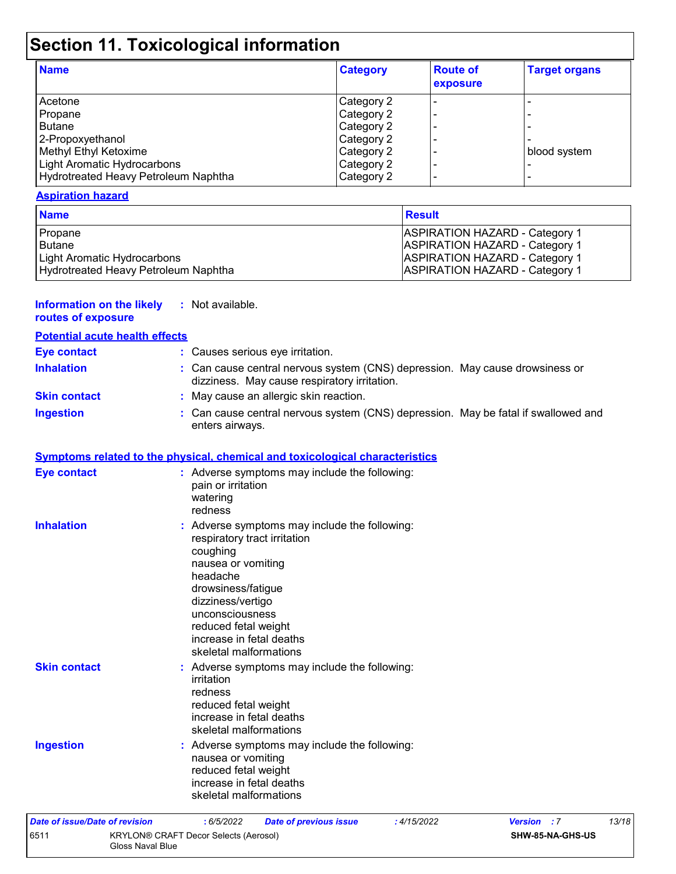# **Section 11. Toxicological information**

| <b>Name</b>                          | <b>Category</b> | <b>Route of</b><br>exposure | <b>Target organs</b> |
|--------------------------------------|-----------------|-----------------------------|----------------------|
| Acetone                              | Category 2      |                             |                      |
| Propane                              | Category 2      |                             |                      |
| <b>Butane</b>                        | Category 2      |                             |                      |
| 2-Propoxyethanol                     | Category 2      |                             |                      |
| Methyl Ethyl Ketoxime                | Category 2      |                             | blood system         |
| Light Aromatic Hydrocarbons          | Category 2      |                             |                      |
| Hydrotreated Heavy Petroleum Naphtha | Category 2      |                             |                      |

#### **Aspiration hazard**

| <b>Name</b>                          | Result                                |
|--------------------------------------|---------------------------------------|
| Propane                              | <b>ASPIRATION HAZARD - Category 1</b> |
| Butane                               | <b>ASPIRATION HAZARD - Category 1</b> |
| Light Aromatic Hydrocarbons          | <b>ASPIRATION HAZARD - Category 1</b> |
| Hydrotreated Heavy Petroleum Naphtha | <b>ASPIRATION HAZARD - Category 1</b> |

| <b>Information on the likely</b><br>routes of exposure | : Not available.                                                                                                                                                                                                                                                        |
|--------------------------------------------------------|-------------------------------------------------------------------------------------------------------------------------------------------------------------------------------------------------------------------------------------------------------------------------|
| <b>Potential acute health effects</b>                  |                                                                                                                                                                                                                                                                         |
| <b>Eye contact</b>                                     | : Causes serious eye irritation.                                                                                                                                                                                                                                        |
| <b>Inhalation</b>                                      | : Can cause central nervous system (CNS) depression. May cause drowsiness or<br>dizziness. May cause respiratory irritation.                                                                                                                                            |
| <b>Skin contact</b>                                    | : May cause an allergic skin reaction.                                                                                                                                                                                                                                  |
| <b>Ingestion</b>                                       | : Can cause central nervous system (CNS) depression. May be fatal if swallowed and<br>enters airways.                                                                                                                                                                   |
|                                                        | <b>Symptoms related to the physical, chemical and toxicological characteristics</b>                                                                                                                                                                                     |
| <b>Eye contact</b>                                     | : Adverse symptoms may include the following:<br>pain or irritation<br>watering<br>redness                                                                                                                                                                              |
| <b>Inhalation</b>                                      | : Adverse symptoms may include the following:<br>respiratory tract irritation<br>coughing<br>nausea or vomiting<br>headache<br>drowsiness/fatigue<br>dizziness/vertigo<br>unconsciousness<br>reduced fetal weight<br>increase in fetal deaths<br>skeletal malformations |
| <b>Skin contact</b>                                    | : Adverse symptoms may include the following:<br>irritation<br>redness<br>reduced fetal weight<br>increase in fetal deaths<br>skeletal malformations                                                                                                                    |
| <b>Ingestion</b>                                       | : Adverse symptoms may include the following:<br>nausea or vomiting<br>reduced fetal weight<br>increase in fetal deaths<br>skeletal malformations                                                                                                                       |

| Date of issue/Date of revision |                                                                  | : 6/5/2022 | <b>Date of previous issue</b> | : 4/15/2022 | <b>Version</b> : 7 |                         | 13/18 |
|--------------------------------|------------------------------------------------------------------|------------|-------------------------------|-------------|--------------------|-------------------------|-------|
| 6511                           | <b>KRYLON® CRAFT Decor Selects (Aerosol)</b><br>Gloss Naval Blue |            |                               |             |                    | <b>SHW-85-NA-GHS-US</b> |       |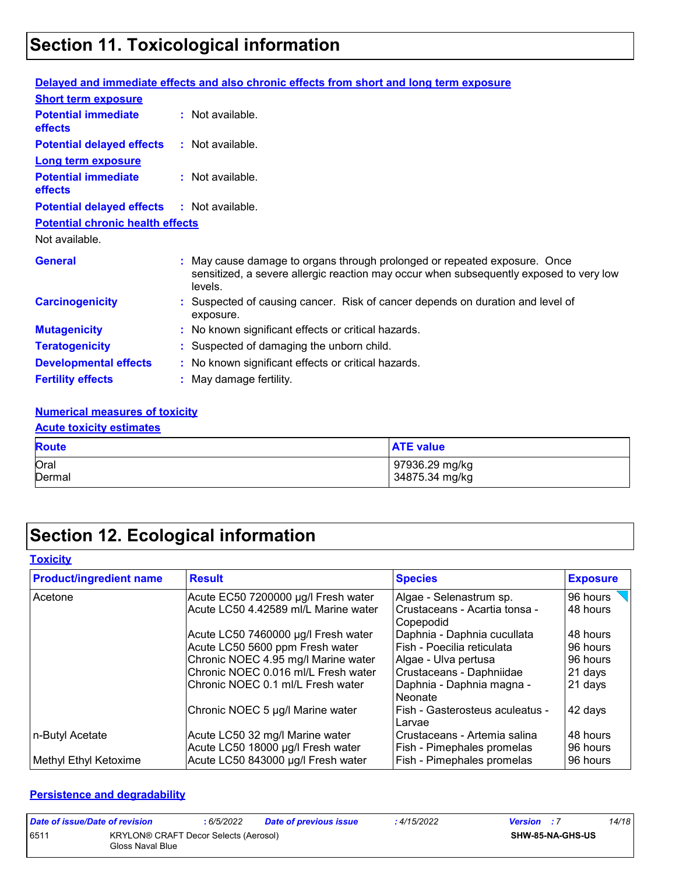### **Section 11. Toxicological information**

|                                                   | Delayed and immediate effects and also chronic effects from short and long term exposure                                                                                       |
|---------------------------------------------------|--------------------------------------------------------------------------------------------------------------------------------------------------------------------------------|
| <b>Short term exposure</b>                        |                                                                                                                                                                                |
| <b>Potential immediate</b><br><b>effects</b>      | : Not available.                                                                                                                                                               |
| <b>Potential delayed effects</b>                  | : Not available.                                                                                                                                                               |
| <b>Long term exposure</b>                         |                                                                                                                                                                                |
| <b>Potential immediate</b><br><b>effects</b>      | $:$ Not available.                                                                                                                                                             |
| <b>Potential delayed effects : Not available.</b> |                                                                                                                                                                                |
| <b>Potential chronic health effects</b>           |                                                                                                                                                                                |
| Not available.                                    |                                                                                                                                                                                |
| <b>General</b>                                    | : May cause damage to organs through prolonged or repeated exposure. Once<br>sensitized, a severe allergic reaction may occur when subsequently exposed to very low<br>levels. |
| <b>Carcinogenicity</b>                            | : Suspected of causing cancer. Risk of cancer depends on duration and level of<br>exposure.                                                                                    |
| <b>Mutagenicity</b>                               | : No known significant effects or critical hazards.                                                                                                                            |
| <b>Teratogenicity</b>                             | : Suspected of damaging the unborn child.                                                                                                                                      |
| <b>Developmental effects</b>                      | : No known significant effects or critical hazards.                                                                                                                            |
| <b>Fertility effects</b>                          | : May damage fertility.                                                                                                                                                        |

#### **Numerical measures of toxicity**

### **Acute toxicity estimates**

| <b>Route</b> | <b>ATE value</b> |
|--------------|------------------|
| Oral         | 97936.29 mg/kg   |
| Dermal       | 34875.34 mg/kg   |

### **Section 12. Ecological information**

#### **Toxicity**

| <b>Product/ingredient name</b> | <b>Result</b>                                                        | <b>Species</b>                                               | <b>Exposure</b>      |
|--------------------------------|----------------------------------------------------------------------|--------------------------------------------------------------|----------------------|
| Acetone                        | Acute EC50 7200000 µg/l Fresh water                                  | Algae - Selenastrum sp.                                      | 96 hours             |
|                                | Acute LC50 4.42589 ml/L Marine water                                 | l Crustaceans - Acartia tonsa -<br>  Copepodid               | 48 hours             |
|                                | Acute LC50 7460000 µg/l Fresh water                                  | Daphnia - Daphnia cucullata                                  | 48 hours             |
|                                | Acute LC50 5600 ppm Fresh water                                      | Fish - Poecilia reticulata                                   | 96 hours             |
|                                | Chronic NOEC 4.95 mg/l Marine water                                  | Algae - Ulva pertusa                                         | 96 hours             |
|                                | Chronic NOEC 0.016 ml/L Fresh water                                  | Crustaceans - Daphniidae                                     | 21 days              |
|                                | Chronic NOEC 0.1 ml/L Fresh water                                    | Daphnia - Daphnia magna -<br>Neonate                         | 21 days              |
|                                | Chronic NOEC 5 µg/l Marine water                                     | l Fish - Gasterosteus aculeatus -<br>l Larvae                | 42 days              |
| n-Butyl Acetate                | Acute LC50 32 mg/l Marine water<br>Acute LC50 18000 µg/l Fresh water | Crustaceans - Artemia salina<br>  Fish - Pimephales promelas | 48 hours<br>96 hours |
| Methyl Ethyl Ketoxime          | Acute LC50 843000 µg/l Fresh water                                   | Fish - Pimephales promelas                                   | 96 hours             |

#### **Persistence and degradability**

| Date of issue/Date of revision |                                                           | : 6/5/2022 | Date of previous issue | : 4/15/2022 | <b>Version</b> : 7 |                         | 14/18 |
|--------------------------------|-----------------------------------------------------------|------------|------------------------|-------------|--------------------|-------------------------|-------|
| 6511                           | KRYLON® CRAFT Decor Selects (Aerosol)<br>Gloss Naval Blue |            |                        |             |                    | <b>SHW-85-NA-GHS-US</b> |       |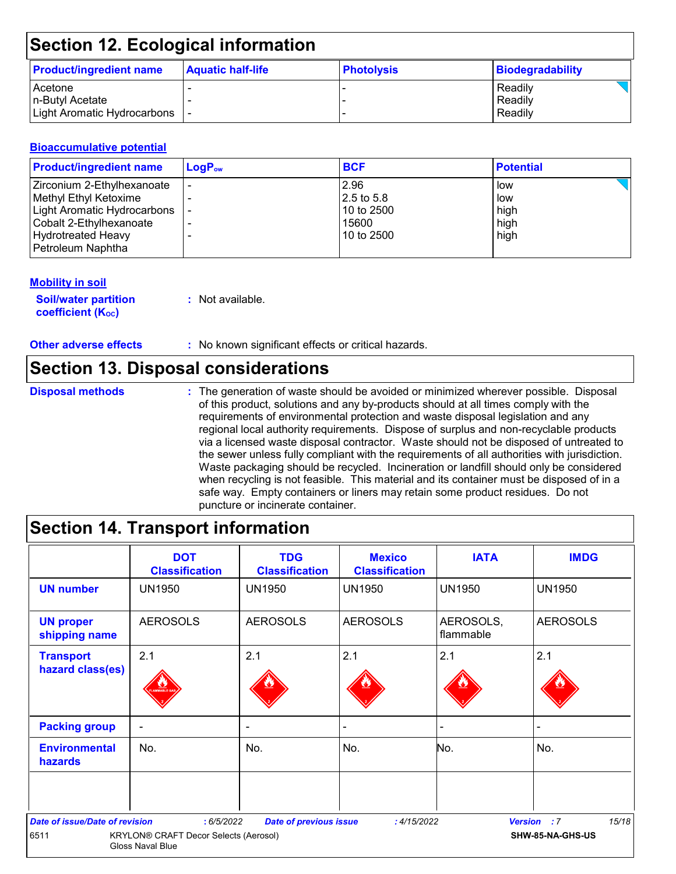### **Section 12. Ecological information**

| <b>Product/ingredient name</b> | <b>Aquatic half-life</b> | <b>Photolysis</b> | Biodegradability |
|--------------------------------|--------------------------|-------------------|------------------|
| Acetone                        |                          |                   | Readily          |
| In-Butyl Acetate               |                          |                   | Readily          |
| Light Aromatic Hydrocarbons  - |                          |                   | Readily          |

#### **Bioaccumulative potential**

| <b>Product/ingredient name</b> | $\mathsf{LogP}_\mathsf{ow}$ | <b>BCF</b> | <b>Potential</b> |
|--------------------------------|-----------------------------|------------|------------------|
| Zirconium 2-Ethylhexanoate     |                             | 2.96       | low              |
| Methyl Ethyl Ketoxime          |                             | 2.5 to 5.8 | low              |
| Light Aromatic Hydrocarbons    |                             | 10 to 2500 | high             |
| Cobalt 2-Ethylhexanoate        |                             | 15600      | high             |
| <b>Hydrotreated Heavy</b>      |                             | 10 to 2500 | high             |
| Petroleum Naphtha              |                             |            |                  |

#### **Mobility in soil**

**Soil/water partition coefficient (K**<sub>oc</sub>)

**:** Not available.

**Other adverse effects** : No known significant effects or critical hazards.

### **Section 13. Disposal considerations**

**Disposal methods :**

The generation of waste should be avoided or minimized wherever possible. Disposal of this product, solutions and any by-products should at all times comply with the requirements of environmental protection and waste disposal legislation and any regional local authority requirements. Dispose of surplus and non-recyclable products via a licensed waste disposal contractor. Waste should not be disposed of untreated to the sewer unless fully compliant with the requirements of all authorities with jurisdiction. Waste packaging should be recycled. Incineration or landfill should only be considered when recycling is not feasible. This material and its container must be disposed of in a safe way. Empty containers or liners may retain some product residues. Do not puncture or incinerate container.

### **Section 14. Transport information**

|                                        | <b>DOT</b><br><b>Classification</b>                       | <b>TDG</b><br><b>Classification</b> | <b>Mexico</b><br><b>Classification</b> | <b>IATA</b>            | <b>IMDG</b>                 |
|----------------------------------------|-----------------------------------------------------------|-------------------------------------|----------------------------------------|------------------------|-----------------------------|
| <b>UN number</b>                       | <b>UN1950</b>                                             | UN1950                              | <b>UN1950</b>                          | <b>UN1950</b>          | <b>UN1950</b>               |
| <b>UN proper</b><br>shipping name      | <b>AEROSOLS</b>                                           | <b>AEROSOLS</b>                     | <b>AEROSOLS</b>                        | AEROSOLS,<br>flammable | <b>AEROSOLS</b>             |
| <b>Transport</b>                       | 2.1                                                       | 2.1                                 | 2.1                                    | 2.1                    | 2.1                         |
| hazard class(es)                       |                                                           |                                     |                                        |                        |                             |
| <b>Packing group</b>                   | $\blacksquare$                                            | ۰                                   |                                        | $\blacksquare$         |                             |
| <b>Environmental</b><br><b>hazards</b> | No.                                                       | No.                                 | No.                                    | No.                    | No.                         |
|                                        |                                                           |                                     |                                        |                        |                             |
| <b>Date of issue/Date of revision</b>  | : 6/5/2022                                                | <b>Date of previous issue</b>       | :4/15/2022                             |                        | 15/18<br><b>Version</b> : 7 |
| 6511                                   | KRYLON® CRAFT Decor Selects (Aerosol)<br>Gloss Naval Blue |                                     |                                        |                        | SHW-85-NA-GHS-US            |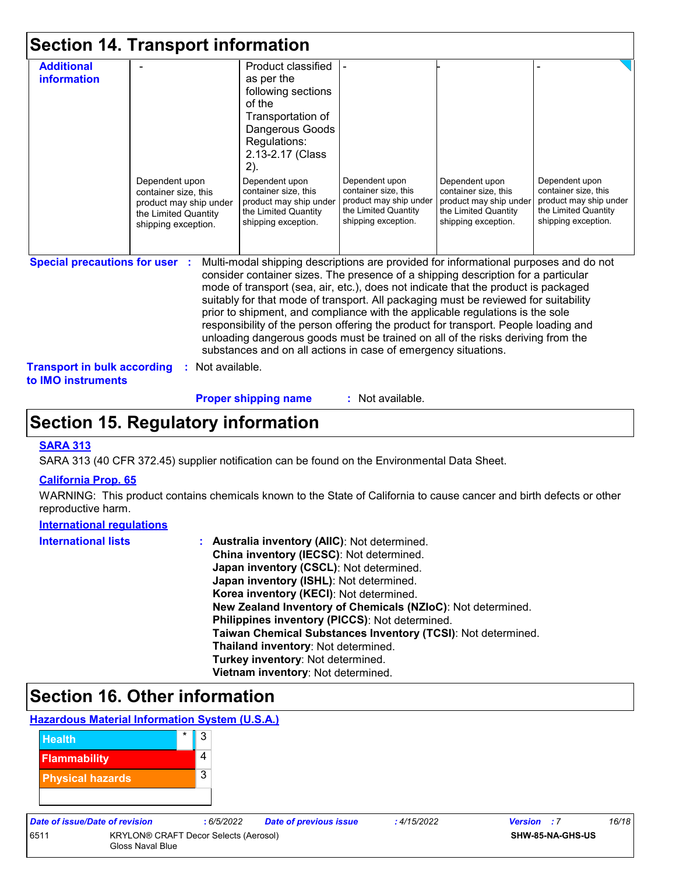|  |  |  | <b>Section 14. Transport information</b> |  |
|--|--|--|------------------------------------------|--|
|--|--|--|------------------------------------------|--|

| <b>Additional</b>                                        |                                                | Product classified                                                                                                                                                                                                                                                                                                                                                                                                                      |                                        |                                        |                                        |
|----------------------------------------------------------|------------------------------------------------|-----------------------------------------------------------------------------------------------------------------------------------------------------------------------------------------------------------------------------------------------------------------------------------------------------------------------------------------------------------------------------------------------------------------------------------------|----------------------------------------|----------------------------------------|----------------------------------------|
| <b>information</b>                                       |                                                | as per the                                                                                                                                                                                                                                                                                                                                                                                                                              |                                        |                                        |                                        |
|                                                          |                                                | following sections                                                                                                                                                                                                                                                                                                                                                                                                                      |                                        |                                        |                                        |
|                                                          |                                                | of the                                                                                                                                                                                                                                                                                                                                                                                                                                  |                                        |                                        |                                        |
|                                                          |                                                | Transportation of                                                                                                                                                                                                                                                                                                                                                                                                                       |                                        |                                        |                                        |
|                                                          |                                                | Dangerous Goods                                                                                                                                                                                                                                                                                                                                                                                                                         |                                        |                                        |                                        |
|                                                          |                                                | Regulations:                                                                                                                                                                                                                                                                                                                                                                                                                            |                                        |                                        |                                        |
|                                                          |                                                | 2.13-2.17 (Class                                                                                                                                                                                                                                                                                                                                                                                                                        |                                        |                                        |                                        |
|                                                          |                                                | 2).                                                                                                                                                                                                                                                                                                                                                                                                                                     |                                        |                                        |                                        |
|                                                          | Dependent upon                                 | Dependent upon<br>container size, this                                                                                                                                                                                                                                                                                                                                                                                                  | Dependent upon<br>container size, this | Dependent upon<br>container size, this | Dependent upon<br>container size, this |
|                                                          | container size, this<br>product may ship under | product may ship under                                                                                                                                                                                                                                                                                                                                                                                                                  | product may ship under                 | product may ship under                 | product may ship under                 |
|                                                          | the Limited Quantity                           | the Limited Quantity                                                                                                                                                                                                                                                                                                                                                                                                                    | the Limited Quantity                   | the Limited Quantity                   | the Limited Quantity                   |
|                                                          | shipping exception.                            | shipping exception.                                                                                                                                                                                                                                                                                                                                                                                                                     | shipping exception.                    | shipping exception.                    | shipping exception.                    |
|                                                          |                                                |                                                                                                                                                                                                                                                                                                                                                                                                                                         |                                        |                                        |                                        |
|                                                          |                                                |                                                                                                                                                                                                                                                                                                                                                                                                                                         |                                        |                                        |                                        |
| <b>Special precautions for user</b>                      |                                                | Multi-modal shipping descriptions are provided for informational purposes and do not<br>consider container sizes. The presence of a shipping description for a particular<br>mode of transport (sea, air, etc.), does not indicate that the product is packaged<br>suitably for that mode of transport. All packaging must be reviewed for suitability<br>prior to shipment, and compliance with the applicable regulations is the sole |                                        |                                        |                                        |
|                                                          |                                                | responsibility of the person offering the product for transport. People loading and                                                                                                                                                                                                                                                                                                                                                     |                                        |                                        |                                        |
|                                                          |                                                | unloading dangerous goods must be trained on all of the risks deriving from the                                                                                                                                                                                                                                                                                                                                                         |                                        |                                        |                                        |
|                                                          |                                                | substances and on all actions in case of emergency situations.                                                                                                                                                                                                                                                                                                                                                                          |                                        |                                        |                                        |
| <b>Transport in bulk according</b><br>to IMO instruments | : Not available.                               |                                                                                                                                                                                                                                                                                                                                                                                                                                         |                                        |                                        |                                        |

**Proper shipping name :**

: Not available.

### **Section 15. Regulatory information**

#### **SARA 313**

SARA 313 (40 CFR 372.45) supplier notification can be found on the Environmental Data Sheet.

#### **California Prop. 65**

WARNING: This product contains chemicals known to the State of California to cause cancer and birth defects or other reproductive harm.

#### **International regulations**

| <b>International lists</b> | : Australia inventory (AIIC): Not determined.                |
|----------------------------|--------------------------------------------------------------|
|                            | China inventory (IECSC): Not determined.                     |
|                            | Japan inventory (CSCL): Not determined.                      |
|                            | Japan inventory (ISHL): Not determined.                      |
|                            | Korea inventory (KECI): Not determined.                      |
|                            | New Zealand Inventory of Chemicals (NZIoC): Not determined.  |
|                            | Philippines inventory (PICCS): Not determined.               |
|                            | Taiwan Chemical Substances Inventory (TCSI): Not determined. |
|                            | Thailand inventory: Not determined.                          |
|                            | Turkey inventory: Not determined.                            |
|                            | Vietnam inventory: Not determined.                           |

### **Section 16. Other information**

#### **Hazardous Material Information System (U.S.A.)**



| Date of issue/Date of revision |                                       | : 6/5/2022              | <b>Date of previous issue</b> | : 4/15/2022 | <b>Version</b> : 7 | 16/18 |
|--------------------------------|---------------------------------------|-------------------------|-------------------------------|-------------|--------------------|-------|
| 6511                           | KRYLON® CRAFT Decor Selects (Aerosol) | <b>SHW-85-NA-GHS-US</b> |                               |             |                    |       |
|                                | Gloss Naval Blue                      |                         |                               |             |                    |       |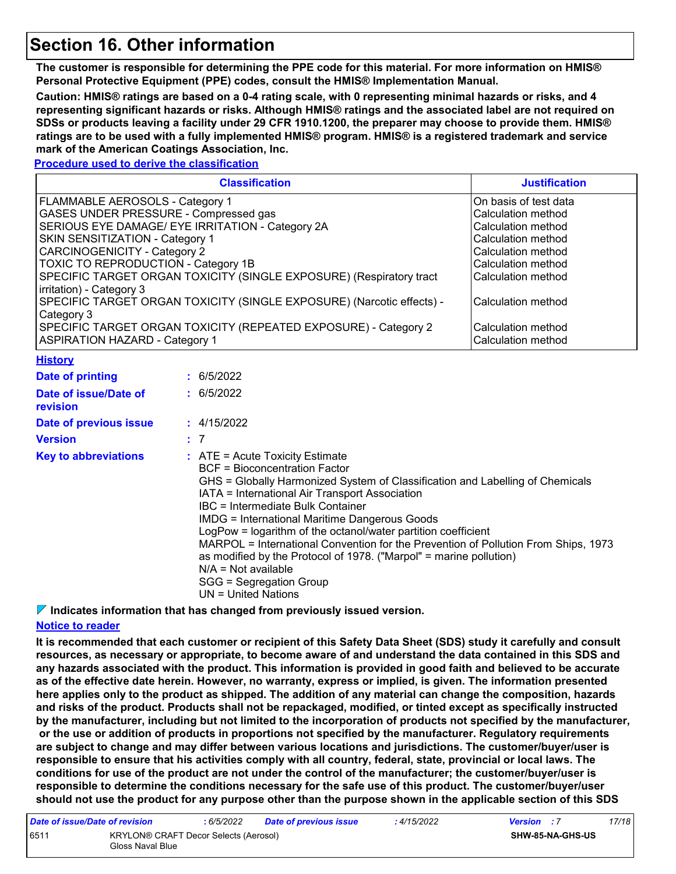### **Section 16. Other information**

**The customer is responsible for determining the PPE code for this material. For more information on HMIS® Personal Protective Equipment (PPE) codes, consult the HMIS® Implementation Manual.**

**Caution: HMIS® ratings are based on a 0-4 rating scale, with 0 representing minimal hazards or risks, and 4 representing significant hazards or risks. Although HMIS® ratings and the associated label are not required on SDSs or products leaving a facility under 29 CFR 1910.1200, the preparer may choose to provide them. HMIS® ratings are to be used with a fully implemented HMIS® program. HMIS® is a registered trademark and service mark of the American Coatings Association, Inc.**

**Procedure used to derive the classification**

|                                                                                                                                                                                                                                                                                                                                                                                                                                                                                                                                                                                                                                                                                                                                                                                    | <b>Justification</b> |                          |  |  |  |
|------------------------------------------------------------------------------------------------------------------------------------------------------------------------------------------------------------------------------------------------------------------------------------------------------------------------------------------------------------------------------------------------------------------------------------------------------------------------------------------------------------------------------------------------------------------------------------------------------------------------------------------------------------------------------------------------------------------------------------------------------------------------------------|----------------------|--------------------------|--|--|--|
| FLAMMABLE AEROSOLS - Category 1<br>On basis of test data<br>GASES UNDER PRESSURE - Compressed gas<br>Calculation method<br>SERIOUS EYE DAMAGE/ EYE IRRITATION - Category 2A<br>Calculation method<br>SKIN SENSITIZATION - Category 1<br>Calculation method<br><b>CARCINOGENICITY - Category 2</b><br>Calculation method<br>TOXIC TO REPRODUCTION - Category 1B<br>Calculation method<br>SPECIFIC TARGET ORGAN TOXICITY (SINGLE EXPOSURE) (Respiratory tract<br>Calculation method<br>irritation) - Category 3<br>SPECIFIC TARGET ORGAN TOXICITY (SINGLE EXPOSURE) (Narcotic effects) -<br>Calculation method<br>Category 3<br>SPECIFIC TARGET ORGAN TOXICITY (REPEATED EXPOSURE) - Category 2<br>Calculation method<br><b>ASPIRATION HAZARD - Category 1</b><br>Calculation method |                      |                          |  |  |  |
| <b>History</b>                                                                                                                                                                                                                                                                                                                                                                                                                                                                                                                                                                                                                                                                                                                                                                     |                      |                          |  |  |  |
| <b>Date of printing</b><br>Date of issue/Date of<br>revision                                                                                                                                                                                                                                                                                                                                                                                                                                                                                                                                                                                                                                                                                                                       |                      | : 6/5/2022<br>: 6/5/2022 |  |  |  |
| Date of previous issue<br><b>Version</b>                                                                                                                                                                                                                                                                                                                                                                                                                                                                                                                                                                                                                                                                                                                                           |                      | : 4/15/2022<br>: 7       |  |  |  |
| <b>Key to abbreviations</b><br>$:$ ATE = Acute Toxicity Estimate<br><b>BCF = Bioconcentration Factor</b><br>GHS = Globally Harmonized System of Classification and Labelling of Chemicals<br>IATA = International Air Transport Association<br><b>IBC</b> = Intermediate Bulk Container<br><b>IMDG = International Maritime Dangerous Goods</b><br>LogPow = logarithm of the octanol/water partition coefficient<br>MARPOL = International Convention for the Prevention of Pollution From Ships, 1973<br>as modified by the Protocol of 1978. ("Marpol" = marine pollution)<br>$N/A = Not available$                                                                                                                                                                              |                      |                          |  |  |  |

SGG = Segregation Group

#### UN = United Nations

**Indicates information that has changed from previously issued version.**

#### **Notice to reader**

**It is recommended that each customer or recipient of this Safety Data Sheet (SDS) study it carefully and consult resources, as necessary or appropriate, to become aware of and understand the data contained in this SDS and any hazards associated with the product. This information is provided in good faith and believed to be accurate as of the effective date herein. However, no warranty, express or implied, is given. The information presented here applies only to the product as shipped. The addition of any material can change the composition, hazards and risks of the product. Products shall not be repackaged, modified, or tinted except as specifically instructed by the manufacturer, including but not limited to the incorporation of products not specified by the manufacturer, or the use or addition of products in proportions not specified by the manufacturer. Regulatory requirements are subject to change and may differ between various locations and jurisdictions. The customer/buyer/user is responsible to ensure that his activities comply with all country, federal, state, provincial or local laws. The conditions for use of the product are not under the control of the manufacturer; the customer/buyer/user is responsible to determine the conditions necessary for the safe use of this product. The customer/buyer/user should not use the product for any purpose other than the purpose shown in the applicable section of this SDS** 

| Date of issue/Date of revision |                                                                  | : 6/5/2022 | <b>Date of previous issue</b> | : 4/15/2022 | <b>Version</b> : 7      |  | 17/18 |  |
|--------------------------------|------------------------------------------------------------------|------------|-------------------------------|-------------|-------------------------|--|-------|--|
| 6511                           | <b>KRYLON® CRAFT Decor Selects (Aerosol)</b><br>Gloss Naval Blue |            |                               |             | <b>SHW-85-NA-GHS-US</b> |  |       |  |